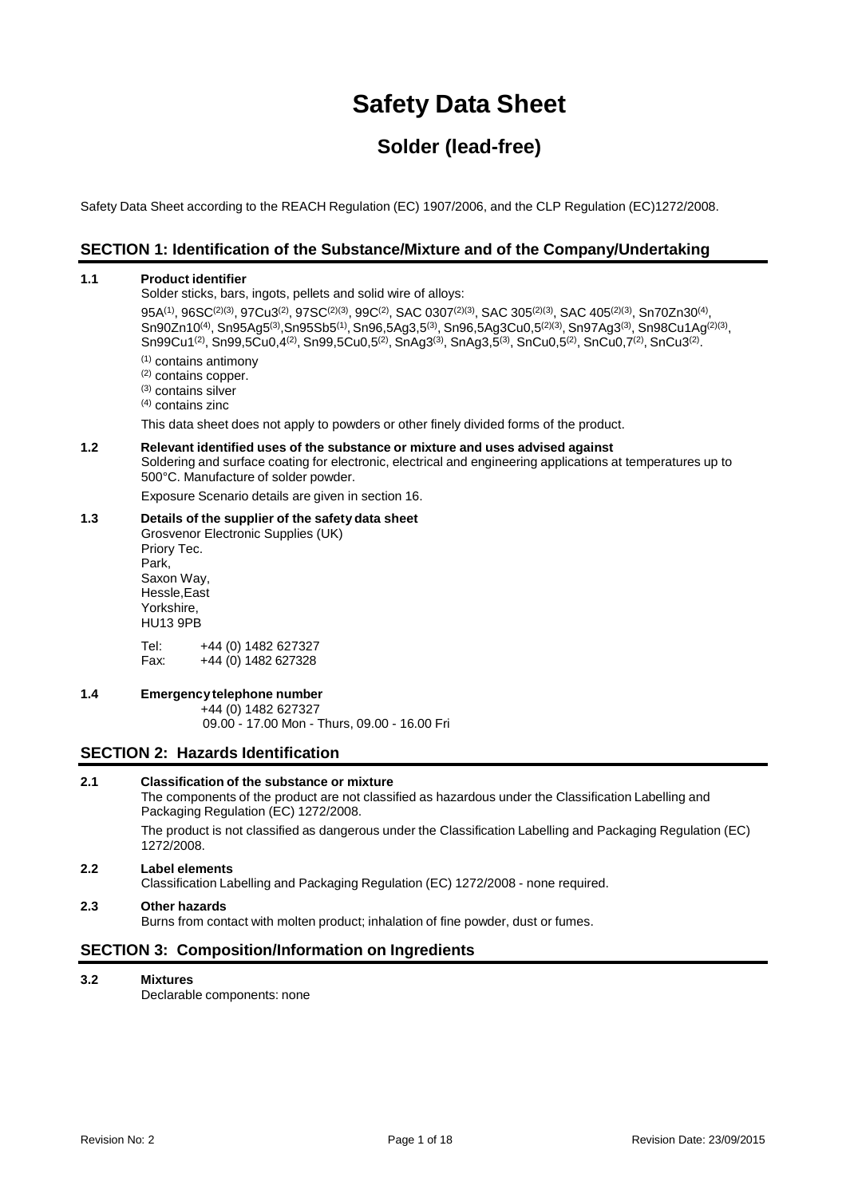# **Safety Data Sheet**

# **Solder (lead-free)**

Safety Data Sheet according to the REACH Regulation (EC) 1907/2006, and the CLP Regulation (EC)1272/2008.

## **SECTION 1: Identification of the Substance/Mixture and of the Company/Undertaking**

### **1.1 Product identifier**

Solder sticks, bars, ingots, pellets and solid wire of alloys:

 $95\mathrm{A}^{(1)},\,96\mathrm{SC}^{(2)(3)},\,97\mathrm{CU}^{(3)},\,97\mathrm{SC}^{(2)(3)},\,99\mathrm{C}^{(2)},\,\mathrm{SAC}\,\,0307^{(2)(3)},\,\mathrm{SAC}\,\,305^{(2)(3)},\,\mathrm{SAC}\,\,405^{(2)(3)},\,\mathrm{Sn}70\mathrm{Zn}30^{(4)}$ ,  $\mathsf{Sn90Zn10^{(4)}},\mathsf{Sn95Ag5^{(3)}},\mathsf{Sn95Sb5^{(1)}},\mathsf{Sn96},\mathsf{5Ag3,G^{(3)}},\mathsf{Sn96},\mathsf{5Ag3Cu0},\mathsf{5^{(2)(3)}},\mathsf{Sn97Ag3^{(3)}},\mathsf{Sn98Cu1Ag^{(2)(3)}},$  $\textsf{Sn99Cu1}^{(2)}, \textsf{Sn99,5Cu0,4}^{(2)}, \textsf{Sn99,5Cu0,5}^{(2)}, \textsf{SnAg3}^{(3)}, \textsf{SnAg3,5}^{(3)}, \textsf{SnCu0,5}^{(2)}, \textsf{SnCu0,7}^{(2)}, \textsf{SnCu3}^{(2)}.$ 

- (1) contains antimony
- (2) contains copper.
- (3) contains silver
- (4) contains zinc

This data sheet does not apply to powders or other finely divided forms of the product.

## **1.2 Relevant identified uses of the substance or mixture and uses advised against** Soldering and surface coating for electronic, electrical and engineering applications at temperatures up to

500°C. Manufacture of solder powder.

Exposure Scenario details are given in section 16.

## **1.3 Details of the supplier of the safety data sheet**

Grosvenor Electronic Supplies (UK) Priory Tec. Park, Saxon Way, Hessle,East Yorkshire, HU13 9PB Tel: +44 (0) 1482 627327<br>Fax: +44 (0) 1482 627328

+44 (0) 1482 627328

## **1.4 Emergencytelephone number**

+44 (0) 1482 627327

09.00 - 17.00 Mon - Thurs, 09.00 - 16.00 Fri

## **SECTION 2: Hazards Identification**

## **2.1 Classification of the substance or mixture**

The components of the product are not classified as hazardous under the Classification Labelling and Packaging Regulation (EC) 1272/2008.

The product is not classified as dangerous under the Classification Labelling and Packaging Regulation (EC) 1272/2008.

## **2.2 Label elements**

Classification Labelling and Packaging Regulation (EC) 1272/2008 - none required.

## **2.3 Other hazards**

Burns from contact with molten product; inhalation of fine powder, dust or fumes.

## **SECTION 3: Composition/Information on Ingredients**

**3.2 Mixtures**

Declarable components: none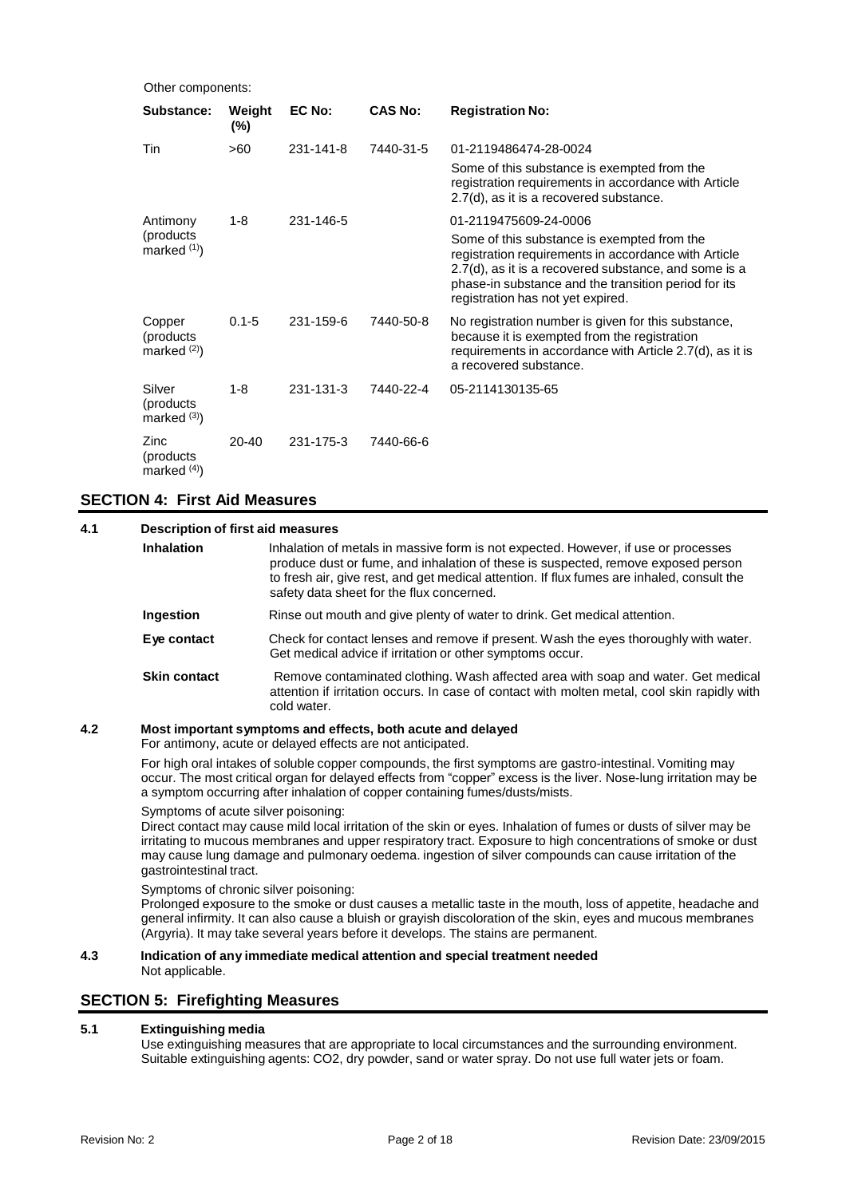| Other components:                    |                  |           |                |                                                                                                                                                                                                                                                           |  |
|--------------------------------------|------------------|-----------|----------------|-----------------------------------------------------------------------------------------------------------------------------------------------------------------------------------------------------------------------------------------------------------|--|
| Substance:                           | Weight<br>$(\%)$ | EC No:    | <b>CAS No:</b> | <b>Registration No:</b>                                                                                                                                                                                                                                   |  |
| Tin                                  | >60              | 231-141-8 | 7440-31-5      | 01-2119486474-28-0024                                                                                                                                                                                                                                     |  |
|                                      |                  |           |                | Some of this substance is exempted from the<br>registration requirements in accordance with Article<br>2.7(d), as it is a recovered substance.                                                                                                            |  |
| Antimony                             | 1-8              | 231-146-5 |                | 01-2119475609-24-0006                                                                                                                                                                                                                                     |  |
| (products)<br>marked $(1)$           |                  |           |                | Some of this substance is exempted from the<br>registration requirements in accordance with Article<br>2.7(d), as it is a recovered substance, and some is a<br>phase-in substance and the transition period for its<br>registration has not yet expired. |  |
| Copper<br>(products)<br>marked $(2)$ | $0.1 - 5$        | 231-159-6 | 7440-50-8      | No registration number is given for this substance,<br>because it is exempted from the registration<br>requirements in accordance with Article 2.7(d), as it is<br>a recovered substance.                                                                 |  |
| Silver<br>(products)<br>marked $(3)$ | $1 - 8$          | 231-131-3 | 7440-22-4      | 05-2114130135-65                                                                                                                                                                                                                                          |  |
| Zinc<br>(products)<br>marked $(4)$   | $20 - 40$        | 231-175-3 | 7440-66-6      |                                                                                                                                                                                                                                                           |  |

## **SECTION 4: First Aid Measures**

| 4.1 |                     | <b>Description of first aid measures</b>                                                                                                                                                                                                                                                                           |  |  |
|-----|---------------------|--------------------------------------------------------------------------------------------------------------------------------------------------------------------------------------------------------------------------------------------------------------------------------------------------------------------|--|--|
|     | <b>Inhalation</b>   | Inhalation of metals in massive form is not expected. However, if use or processes<br>produce dust or fume, and inhalation of these is suspected, remove exposed person<br>to fresh air, give rest, and get medical attention. If flux fumes are inhaled, consult the<br>safety data sheet for the flux concerned. |  |  |
|     | Ingestion           | Rinse out mouth and give plenty of water to drink. Get medical attention.                                                                                                                                                                                                                                          |  |  |
|     | Eye contact         | Check for contact lenses and remove if present. Wash the eyes thoroughly with water.<br>Get medical advice if irritation or other symptoms occur.                                                                                                                                                                  |  |  |
|     | <b>Skin contact</b> | Remove contaminated clothing. Wash affected area with soap and water. Get medical<br>attention if irritation occurs. In case of contact with molten metal, cool skin rapidly with<br>cold water.                                                                                                                   |  |  |
| 4.2 |                     | Most important symptoms and effects, both acute and delayed                                                                                                                                                                                                                                                        |  |  |

For antimony, acute or delayed effects are not anticipated.

For high oral intakes of soluble copper compounds, the first symptoms are gastro-intestinal. Vomiting may occur. The most critical organ for delayed effects from "copper" excess is the liver. Nose-lung irritation may be a symptom occurring after inhalation of copper containing fumes/dusts/mists.

Symptoms of acute silver poisoning:

Direct contact may cause mild local irritation of the skin or eyes. Inhalation of fumes or dusts of silver may be irritating to mucous membranes and upper respiratory tract. Exposure to high concentrations of smoke or dust may cause lung damage and pulmonary oedema. ingestion of silver compounds can cause irritation of the gastrointestinal tract.

Symptoms of chronic silver poisoning:

Prolonged exposure to the smoke or dust causes a metallic taste in the mouth, loss of appetite, headache and general infirmity. It can also cause a bluish or grayish discoloration of the skin, eyes and mucous membranes (Argyria). It may take several years before it develops. The stains are permanent.

## **4.3 Indication of any immediate medical attention and special treatment needed** Not applicable.

## **SECTION 5: Firefighting Measures**

## **5.1 Extinguishing media**

Use extinguishing measures that are appropriate to local circumstances and the surrounding environment. Suitable extinguishing agents: CO2, dry powder, sand or water spray. Do not use full water jets or foam.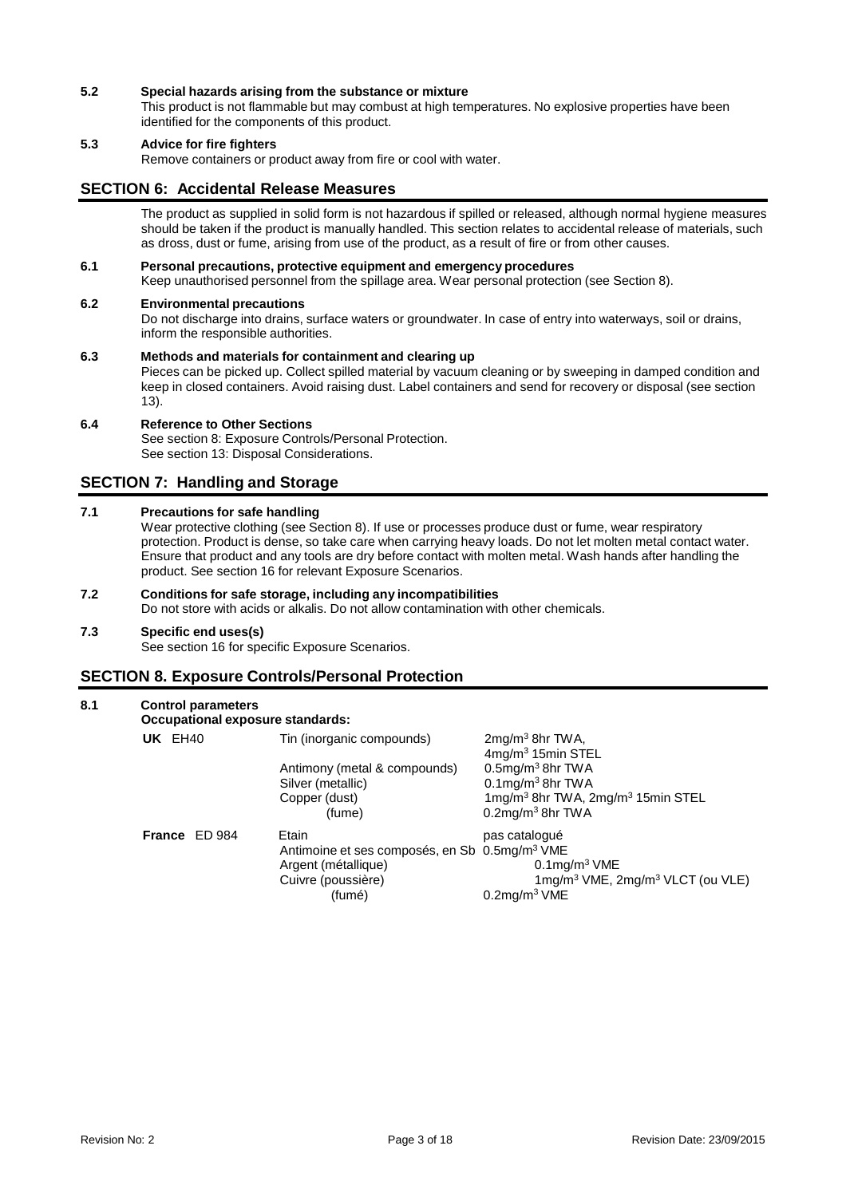## **5.2 Special hazards arising from the substance or mixture**

This product is not flammable but may combust at high temperatures. No explosive properties have been identified for the components of this product.

## **5.3 Advice for fire fighters**

Remove containers or product away from fire or cool with water.

## **SECTION 6: Accidental Release Measures**

The product as supplied in solid form is not hazardous if spilled or released, although normal hygiene measures should be taken if the product is manually handled. This section relates to accidental release of materials, such as dross, dust or fume, arising from use of the product, as a result of fire or from other causes.

## **6.1 Personal precautions, protective equipment and emergency procedures**

Keep unauthorised personnel from the spillage area. Wear personal protection (see Section 8).

## **6.2 Environmental precautions**

Do not discharge into drains, surface waters or groundwater. In case of entry into waterways, soil or drains, inform the responsible authorities.

## **6.3 Methods and materials for containment and clearing up**

Pieces can be picked up. Collect spilled material by vacuum cleaning or by sweeping in damped condition and keep in closed containers. Avoid raising dust. Label containers and send for recovery or disposal (see section 13).

## **6.4 Reference to Other Sections**

See section 8: Exposure Controls/Personal Protection. See section 13: Disposal Considerations.

## **SECTION 7: Handling and Storage**

## **7.1 Precautions for safe handling**

Wear protective clothing (see Section 8). If use or processes produce dust or fume, wear respiratory protection. Product is dense, so take care when carrying heavy loads. Do not let molten metal contact water. Ensure that product and any tools are dry before contact with molten metal. Wash hands after handling the product. See section 16 for relevant Exposure Scenarios.

## **7.2 Conditions for safe storage, including any incompatibilities**

Do not store with acids or alkalis. Do not allow contamination with other chemicals.

## **7.3 Specific end uses(s)**

See section 16 for specific Exposure Scenarios.

## **SECTION 8. Exposure Controls/Personal Protection**

| $1 \text{mg/m}^3$ VME, $2 \text{mg/m}^3$ VLCT (ou VLE) |
|--------------------------------------------------------|
|                                                        |
|                                                        |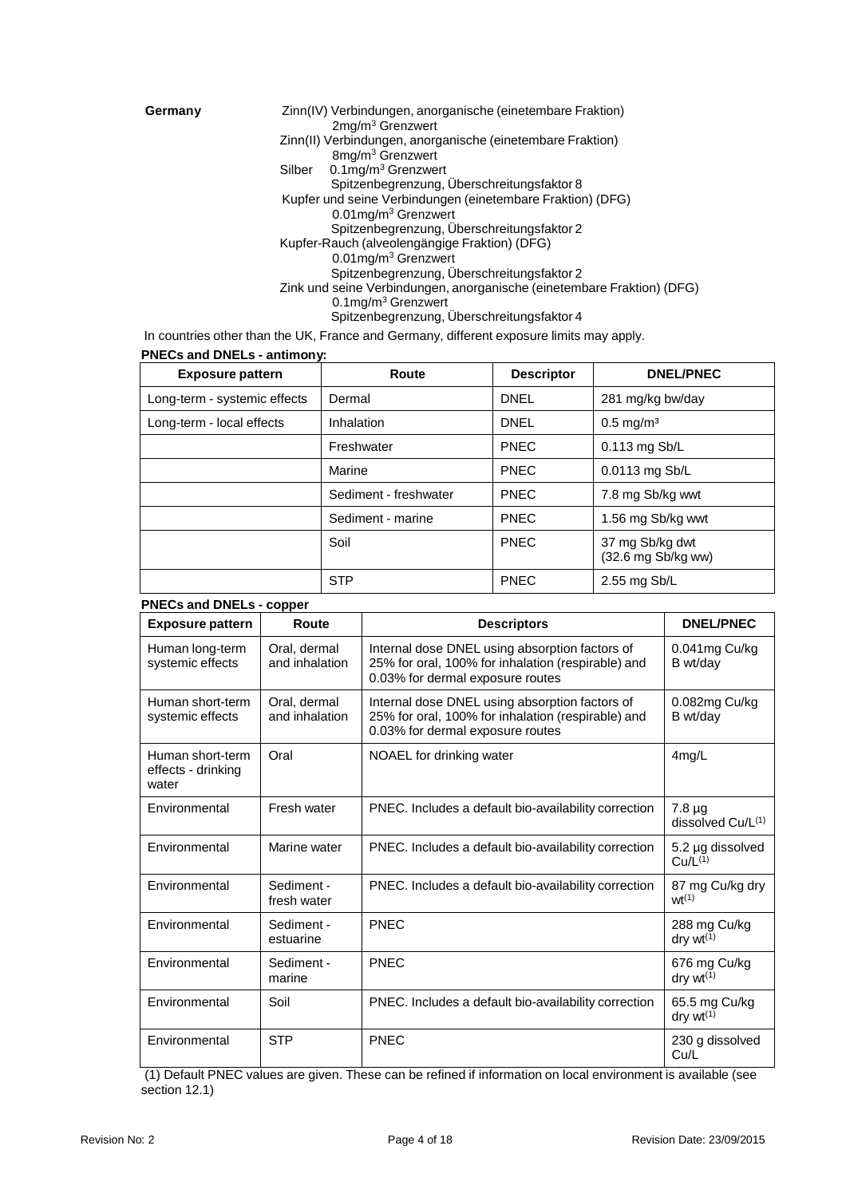**Germany** Zinn(IV) Verbindungen, anorganische (einetembare Fraktion) 2mg/m<sup>3</sup> Grenzwert Zinn(II) Verbindungen, anorganische (einetembare Fraktion) 8mg/m<sup>3</sup> Grenzwert Silber 0.1mg/m<sup>3</sup> Grenzwert Spitzenbegrenzung, Überschreitungsfaktor 8 Kupfer und seine Verbindungen (einetembare Fraktion) (DFG) 0.01mg/m<sup>3</sup> Grenzwert Spitzenbegrenzung, Überschreitungsfaktor 2 Kupfer-Rauch (alveolengängige Fraktion) (DFG) 0.01mg/m<sup>3</sup> Grenzwert Spitzenbegrenzung, Überschreitungsfaktor 2 Zink und seine Verbindungen, anorganische (einetembare Fraktion) (DFG) 0.1mg/m<sup>3</sup> Grenzwert Spitzenbegrenzung, Überschreitungsfaktor 4

In countries other than the UK, France and Germany, different exposure limits may apply.

**PNECs and DNELs - antimony:**

| <b>Exposure pattern</b>      | Route                 | <b>Descriptor</b> | <b>DNEL/PNEC</b>                      |
|------------------------------|-----------------------|-------------------|---------------------------------------|
| Long-term - systemic effects | Dermal                | <b>DNEL</b>       | 281 mg/kg bw/day                      |
| Long-term - local effects    | Inhalation            | <b>DNEL</b>       | $0.5$ mg/m <sup>3</sup>               |
|                              | Freshwater            | <b>PNEC</b>       | 0.113 mg Sb/L                         |
|                              | Marine                | <b>PNEC</b>       | 0.0113 mg Sb/L                        |
|                              | Sediment - freshwater | <b>PNEC</b>       | 7.8 mg Sb/kg wwt                      |
|                              | Sediment - marine     | <b>PNEC</b>       | 1.56 mg Sb/kg wwt                     |
|                              | Soil                  | <b>PNEC</b>       | 37 mg Sb/kg dwt<br>(32.6 mg Sb/kg ww) |
|                              | <b>STP</b>            | <b>PNEC</b>       | 2.55 mg Sb/L                          |

## **PNECs and DNELs - copper**

| <b>Exposure pattern</b>                         | Route                          | <b>Descriptors</b>                                                                                                                       | <b>DNEL/PNEC</b>                        |
|-------------------------------------------------|--------------------------------|------------------------------------------------------------------------------------------------------------------------------------------|-----------------------------------------|
| Human long-term<br>systemic effects             | Oral, dermal<br>and inhalation | Internal dose DNEL using absorption factors of<br>25% for oral, 100% for inhalation (respirable) and<br>0.03% for dermal exposure routes | 0.041mg Cu/kg<br>B wt/dav               |
| Human short-term<br>systemic effects            | Oral, dermal<br>and inhalation | Internal dose DNEL using absorption factors of<br>25% for oral, 100% for inhalation (respirable) and<br>0.03% for dermal exposure routes | 0.082mg Cu/kg<br>B wt/day               |
| Human short-term<br>effects - drinking<br>water | Oral                           | NOAEL for drinking water                                                                                                                 | $4$ mg/L                                |
| Environmental                                   | Fresh water                    | PNEC. Includes a default bio-availability correction                                                                                     | $7.8 \mu q$<br>dissolved Cu/L(1)        |
| Environmental                                   | Marine water                   | PNEC. Includes a default bio-availability correction                                                                                     | 5.2 µg dissolved<br>Cu/L <sup>(1)</sup> |
| Environmental                                   | Sediment -<br>fresh water      | PNEC. Includes a default bio-availability correction                                                                                     | 87 mg Cu/kg dry<br>$wt^{(1)}$           |
| Environmental                                   | Sediment -<br>estuarine        | PNEC                                                                                                                                     | 288 mg Cu/kg<br>dry $wt^{(1)}$          |
| Environmental                                   | Sediment -<br>marine           | PNEC                                                                                                                                     | 676 mg Cu/kg<br>dry $wt^{(1)}$          |
| Environmental                                   | Soil                           | PNEC. Includes a default bio-availability correction                                                                                     | 65.5 mg Cu/kg<br>$dry wt^{(1)}$         |
| Environmental                                   | <b>STP</b>                     | PNEC                                                                                                                                     | 230 g dissolved<br>Cu/L                 |

(1) Default PNEC values are given. These can be refined if information on local environment is available (see section 12.1)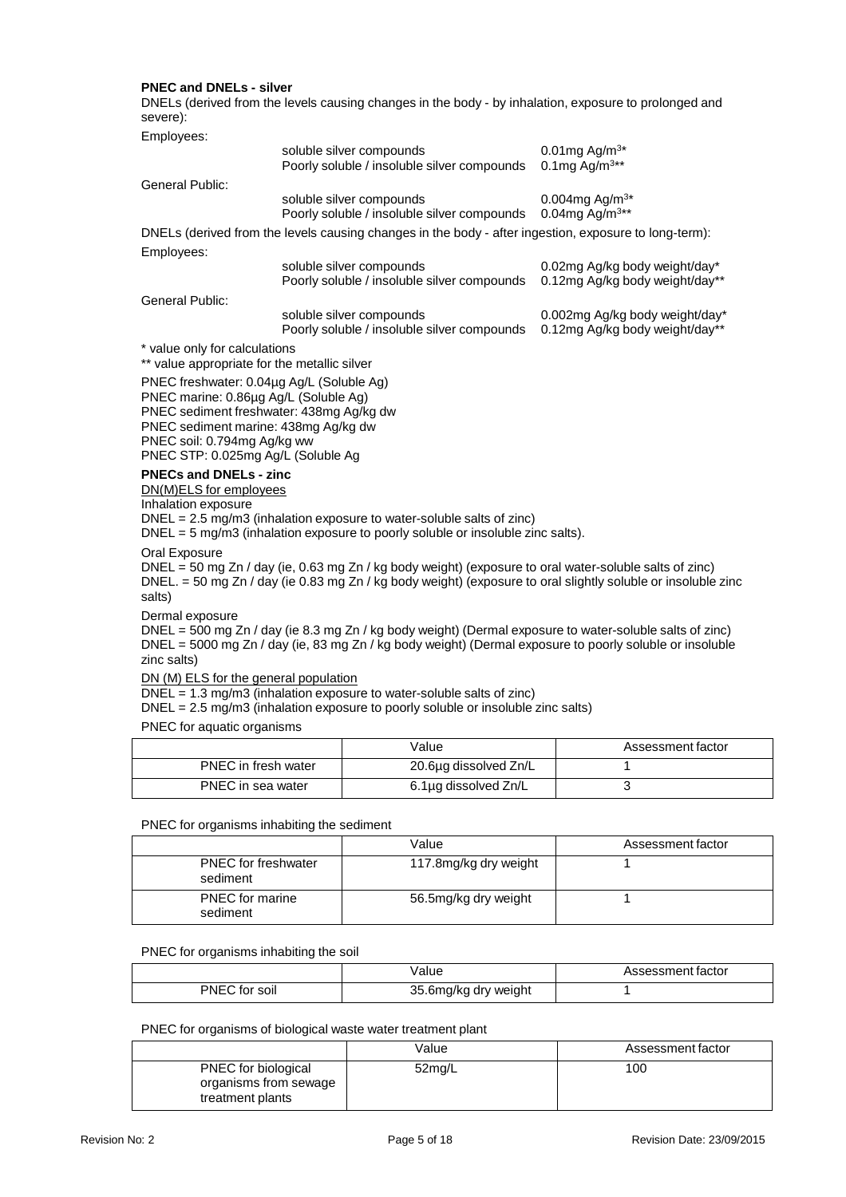## **PNEC and DNELs - silver**

DNELs (derived from the levels causing changes in the body - by inhalation, exposure to prolonged and severe):

| Employees:                                                                                                                                                                                                                                           |                                                                                                       |                                                                  |  |  |  |
|------------------------------------------------------------------------------------------------------------------------------------------------------------------------------------------------------------------------------------------------------|-------------------------------------------------------------------------------------------------------|------------------------------------------------------------------|--|--|--|
|                                                                                                                                                                                                                                                      | soluble silver compounds<br>Poorly soluble / insoluble silver compounds                               | 0.01mg Ag/m <sup>3*</sup><br>0.1mg Ag/m <sup>3**</sup>           |  |  |  |
| General Public:                                                                                                                                                                                                                                      |                                                                                                       |                                                                  |  |  |  |
|                                                                                                                                                                                                                                                      | soluble silver compounds<br>Poorly soluble / insoluble silver compounds                               | 0.004mg Ag/m <sup>3*</sup><br>0.04mg Ag/m <sup>3**</sup>         |  |  |  |
|                                                                                                                                                                                                                                                      | DNELs (derived from the levels causing changes in the body - after ingestion, exposure to long-term): |                                                                  |  |  |  |
| Employees:                                                                                                                                                                                                                                           |                                                                                                       |                                                                  |  |  |  |
|                                                                                                                                                                                                                                                      | soluble silver compounds<br>Poorly soluble / insoluble silver compounds                               | 0.02mg Ag/kg body weight/day*<br>0.12mg Ag/kg body weight/day**  |  |  |  |
| General Public:                                                                                                                                                                                                                                      |                                                                                                       |                                                                  |  |  |  |
|                                                                                                                                                                                                                                                      | soluble silver compounds<br>Poorly soluble / insoluble silver compounds                               | 0.002mg Ag/kg body weight/day*<br>0.12mg Ag/kg body weight/day** |  |  |  |
| * value only for calculations<br>** value appropriate for the metallic silver                                                                                                                                                                        |                                                                                                       |                                                                  |  |  |  |
| PNEC freshwater: 0.04µg Ag/L (Soluble Ag)<br>PNEC marine: 0.86µg Ag/L (Soluble Ag)<br>PNEC sediment freshwater: 438mg Ag/kg dw<br>PNEC sediment marine: 438mg Ag/kg dw<br>PNEC soil: 0.794mg Ag/kg ww<br>PNEC STP: 0.025mg Ag/L (Soluble Ag          |                                                                                                       |                                                                  |  |  |  |
| <b>PNECs and DNELs - zinc</b><br>DN(M)ELS for employees                                                                                                                                                                                              |                                                                                                       |                                                                  |  |  |  |
| Inhalation exposure<br>DNEL = 2.5 mg/m3 (inhalation exposure to water-soluble salts of zinc)<br>$DNEL = 5$ mg/m3 (inhalation exposure to poorly soluble or insoluble zinc salts).                                                                    |                                                                                                       |                                                                  |  |  |  |
| Oral Exposure<br>DNEL = 50 mg Zn / day (ie, 0.63 mg Zn / kg body weight) (exposure to oral water-soluble salts of zinc)<br>DNEL. = 50 mg Zn / day (ie 0.83 mg Zn / kg body weight) (exposure to oral slightly soluble or insoluble zinc<br>salts)    |                                                                                                       |                                                                  |  |  |  |
| Dermal exposure<br>DNEL = 500 mg Zn / day (ie 8.3 mg Zn / kg body weight) (Dermal exposure to water-soluble salts of zinc)<br>DNEL = 5000 mg Zn / day (ie, 83 mg Zn / kg body weight) (Dermal exposure to poorly soluble or insoluble<br>zinc salts) |                                                                                                       |                                                                  |  |  |  |
| DN (M) ELS for the general population<br>$DNEL = 1.3$ mg/m3 (inhalation exposure to water-soluble salts of zinc)<br>DNEL = 2.5 mg/m3 (inhalation exposure to poorly soluble or insoluble zinc salts)                                                 |                                                                                                       |                                                                  |  |  |  |

PNEC for aquatic organisms

|                     | Value                 | Assessment factor |
|---------------------|-----------------------|-------------------|
| PNEC in fresh water | 20.6µg dissolved Zn/L |                   |
| PNEC in sea water   | 6.1µg dissolved Zn/L  |                   |

## PNEC for organisms inhabiting the sediment

|                                        | Value                 | Assessment factor |
|----------------------------------------|-----------------------|-------------------|
| <b>PNEC</b> for freshwater<br>sediment | 117.8mg/kg dry weight |                   |
| <b>PNEC</b> for marine<br>sediment     | 56.5mg/kg dry weight  |                   |

## PNEC for organisms inhabiting the soil

|               | √alue                | Assessment factor |
|---------------|----------------------|-------------------|
| PNEC for soil | 35.6mg/kg dry weight |                   |

## PNEC for organisms of biological waste water treatment plant

|                                                                         | Value  | Assessment factor |
|-------------------------------------------------------------------------|--------|-------------------|
| <b>PNEC</b> for biological<br>organisms from sewage<br>treatment plants | 52mg/L | 100               |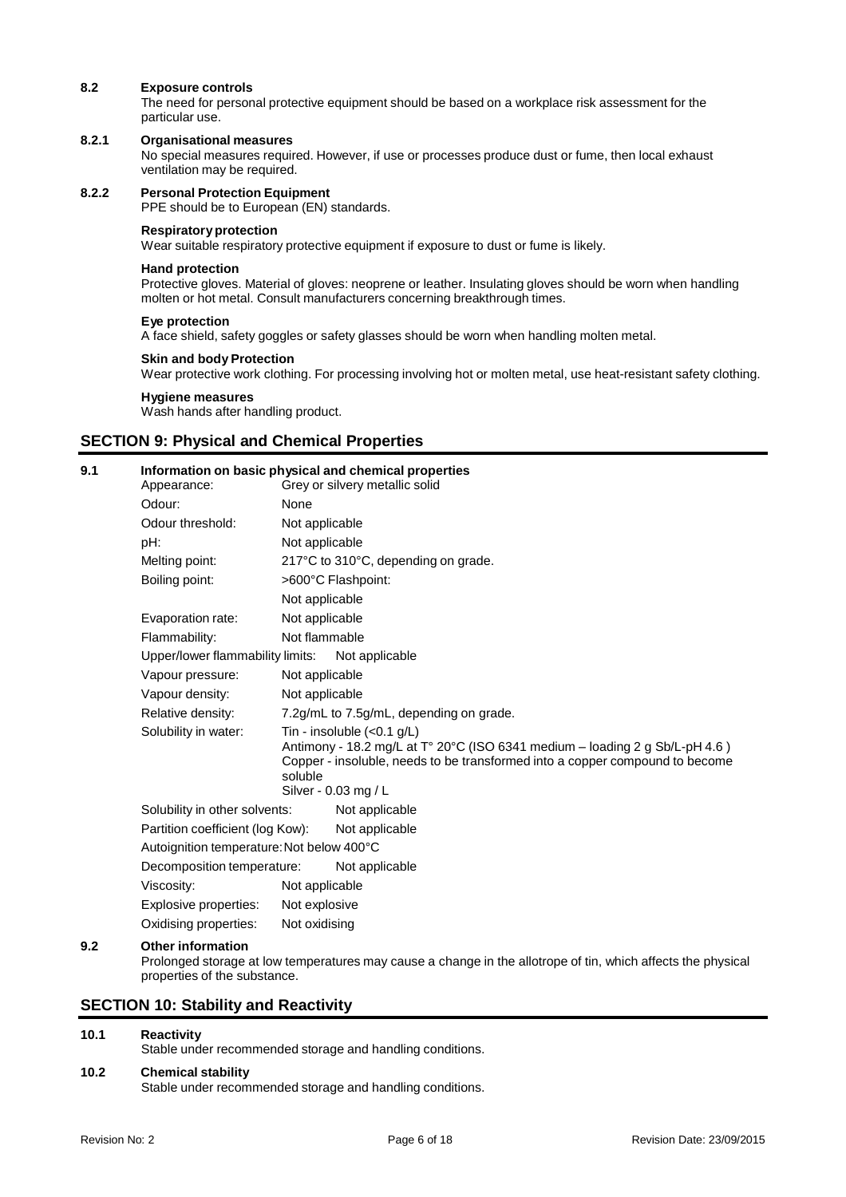## **8.2 Exposure controls**

The need for personal protective equipment should be based on a workplace risk assessment for the particular use.

## **8.2.1 Organisational measures**

No special measures required. However, if use or processes produce dust or fume, then local exhaust ventilation may be required.

### **8.2.2 Personal Protection Equipment**

PPE should be to European (EN) standards.

## **Respiratoryprotection**

Wear suitable respiratory protective equipment if exposure to dust or fume is likely.

## **Hand protection**

Protective gloves. Material of gloves: neoprene or leather. Insulating gloves should be worn when handling molten or hot metal. Consult manufacturers concerning breakthrough times.

### **Eye protection**

A face shield, safety goggles or safety glasses should be worn when handling molten metal.

### **Skin and body Protection**

Wear protective work clothing. For processing involving hot or molten metal, use heat-resistant safety clothing.

### **Hygiene measures**

Wash hands after handling product.

## **SECTION 9: Physical and Chemical Properties**

## **9.1 Information on basic physical and chemical properties**

| None<br>Not applicable<br>Not applicable<br>217°C to 310°C, depending on grade.<br>>600°C Flashpoint:<br>Not applicable<br>Not applicable<br>Not flammable<br>Upper/lower flammability limits:<br>Not applicable<br>Not applicable<br>Not applicable<br>7.2g/mL to 7.5g/mL, depending on grade.<br>Tin - insoluble $(<0.1$ g/L)<br>Antimony - 18.2 mg/L at T° 20°C (ISO 6341 medium - loading 2 g Sb/L-pH 4.6)<br>Copper - insoluble, needs to be transformed into a copper compound to become<br>soluble<br>Silver - 0.03 mg / L<br>Solubility in other solvents:<br>Not applicable<br>Not applicable<br>Decomposition temperature:<br>Not applicable<br>Not applicable | Appearance:                               |               | Grey or silvery metallic solid |
|--------------------------------------------------------------------------------------------------------------------------------------------------------------------------------------------------------------------------------------------------------------------------------------------------------------------------------------------------------------------------------------------------------------------------------------------------------------------------------------------------------------------------------------------------------------------------------------------------------------------------------------------------------------------------|-------------------------------------------|---------------|--------------------------------|
|                                                                                                                                                                                                                                                                                                                                                                                                                                                                                                                                                                                                                                                                          | Odour:                                    |               |                                |
|                                                                                                                                                                                                                                                                                                                                                                                                                                                                                                                                                                                                                                                                          | Odour threshold:                          |               |                                |
|                                                                                                                                                                                                                                                                                                                                                                                                                                                                                                                                                                                                                                                                          | pH:                                       |               |                                |
|                                                                                                                                                                                                                                                                                                                                                                                                                                                                                                                                                                                                                                                                          | Melting point:                            |               |                                |
|                                                                                                                                                                                                                                                                                                                                                                                                                                                                                                                                                                                                                                                                          | Boiling point:                            |               |                                |
|                                                                                                                                                                                                                                                                                                                                                                                                                                                                                                                                                                                                                                                                          |                                           |               |                                |
|                                                                                                                                                                                                                                                                                                                                                                                                                                                                                                                                                                                                                                                                          | Evaporation rate:                         |               |                                |
|                                                                                                                                                                                                                                                                                                                                                                                                                                                                                                                                                                                                                                                                          | Flammability:                             |               |                                |
|                                                                                                                                                                                                                                                                                                                                                                                                                                                                                                                                                                                                                                                                          |                                           |               |                                |
|                                                                                                                                                                                                                                                                                                                                                                                                                                                                                                                                                                                                                                                                          | Vapour pressure:                          |               |                                |
|                                                                                                                                                                                                                                                                                                                                                                                                                                                                                                                                                                                                                                                                          | Vapour density:                           |               |                                |
|                                                                                                                                                                                                                                                                                                                                                                                                                                                                                                                                                                                                                                                                          | Relative density:                         |               |                                |
|                                                                                                                                                                                                                                                                                                                                                                                                                                                                                                                                                                                                                                                                          | Solubility in water:                      |               |                                |
|                                                                                                                                                                                                                                                                                                                                                                                                                                                                                                                                                                                                                                                                          |                                           |               |                                |
|                                                                                                                                                                                                                                                                                                                                                                                                                                                                                                                                                                                                                                                                          |                                           |               |                                |
|                                                                                                                                                                                                                                                                                                                                                                                                                                                                                                                                                                                                                                                                          |                                           |               |                                |
|                                                                                                                                                                                                                                                                                                                                                                                                                                                                                                                                                                                                                                                                          |                                           |               |                                |
|                                                                                                                                                                                                                                                                                                                                                                                                                                                                                                                                                                                                                                                                          | Partition coefficient (log Kow):          |               |                                |
|                                                                                                                                                                                                                                                                                                                                                                                                                                                                                                                                                                                                                                                                          | Autoignition temperature: Not below 400°C |               |                                |
|                                                                                                                                                                                                                                                                                                                                                                                                                                                                                                                                                                                                                                                                          |                                           |               |                                |
|                                                                                                                                                                                                                                                                                                                                                                                                                                                                                                                                                                                                                                                                          | Viscosity:                                |               |                                |
|                                                                                                                                                                                                                                                                                                                                                                                                                                                                                                                                                                                                                                                                          | Explosive properties:                     | Not explosive |                                |
| Not oxidising                                                                                                                                                                                                                                                                                                                                                                                                                                                                                                                                                                                                                                                            | Oxidising properties:                     |               |                                |

## **9.2 Other information**

Prolonged storage at low temperatures may cause a change in the allotrope of tin, which affects the physical properties of the substance.

## **SECTION 10: Stability and Reactivity**

## **10.1 Reactivity**

Stable under recommended storage and handling conditions.

#### **10.2 Chemical stability**

Stable under recommended storage and handling conditions.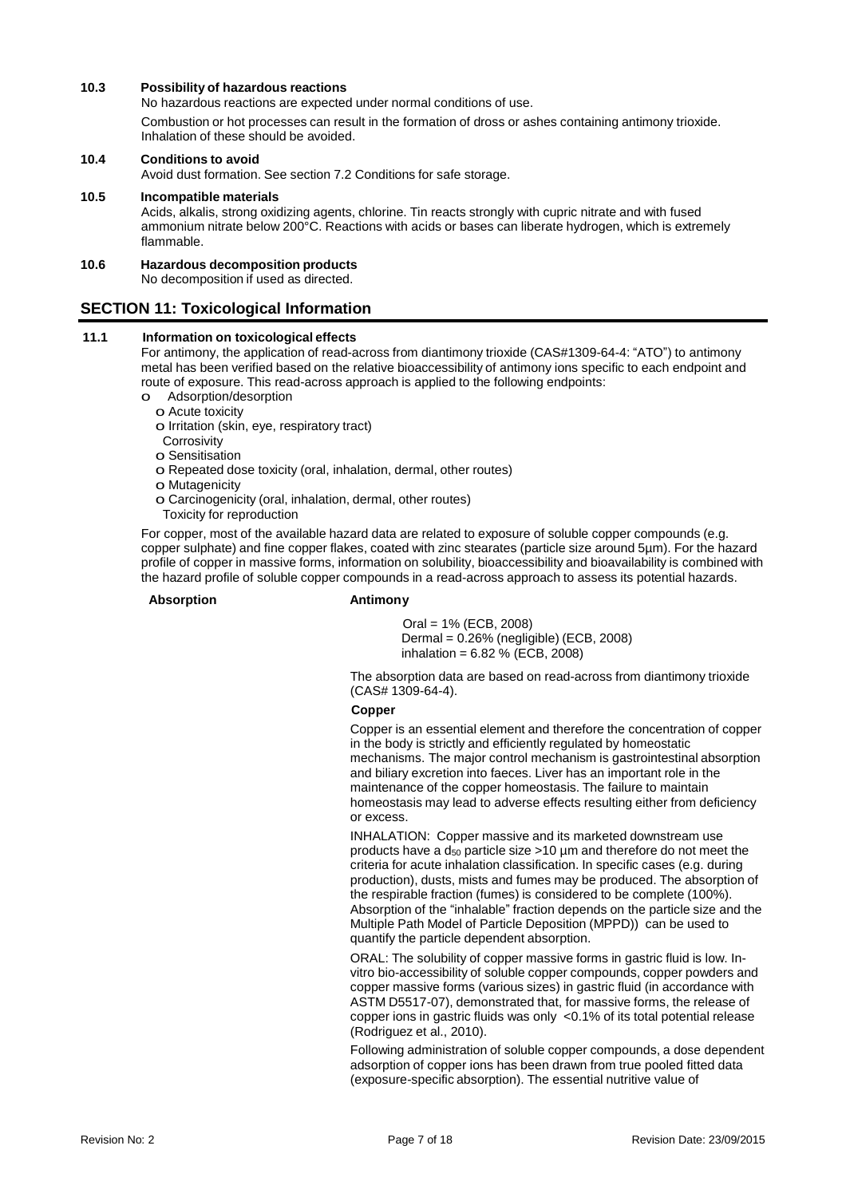## **10.3 Possibility of hazardous reactions**

No hazardous reactions are expected under normal conditions of use.

Combustion or hot processes can result in the formation of dross or ashes containing antimony trioxide. Inhalation of these should be avoided.

## **10.4 Conditions to avoid**

Avoid dust formation. See section 7.2 Conditions for safe storage.

## **10.5 Incompatible materials** Acids, alkalis, strong oxidizing agents, chlorine. Tin reacts strongly with cupric nitrate and with fused ammonium nitrate below 200°C. Reactions with acids or bases can liberate hydrogen, which is extremely flammable.

## **10.6 Hazardous decomposition products**

No decomposition if used as directed.

## **SECTION 11: Toxicological Information**

## **11.1 Information on toxicological effects**

For antimony, the application of read-across from diantimony trioxide (CAS#1309-64-4: "ATO") to antimony metal has been verified based on the relative bioaccessibility of antimony ions specific to each endpoint and route of exposure. This read-across approach is applied to the following endpoints:

- o Adsorption/desorption
	- o Acute toxicity
	- o Irritation (skin, eye, respiratory tract)
	- **Corrosivity**
	- o Sensitisation
	- o Repeated dose toxicity (oral, inhalation, dermal, other routes)
	- o Mutagenicity
	- o Carcinogenicity (oral, inhalation, dermal, other routes)
	- Toxicity for reproduction

For copper, most of the available hazard data are related to exposure of soluble copper compounds (e.g. copper sulphate) and fine copper flakes, coated with zinc stearates (particle size around 5µm). For the hazard profile of copper in massive forms, information on solubility, bioaccessibility and bioavailability is combined with the hazard profile of soluble copper compounds in a read-across approach to assess its potential hazards.

## **Absorption Antimony**

Oral = 1% (ECB, 2008) Dermal = 0.26% (negligible) (ECB, 2008) inhalation =  $6.82$  % (ECB, 2008)

The absorption data are based on read-across from diantimony trioxide (CAS# 1309-64-4).

### **Copper**

Copper is an essential element and therefore the concentration of copper in the body is strictly and efficiently regulated by homeostatic mechanisms. The major control mechanism is gastrointestinal absorption and biliary excretion into faeces. Liver has an important role in the maintenance of the copper homeostasis. The failure to maintain homeostasis may lead to adverse effects resulting either from deficiency or excess.

INHALATION: Copper massive and its marketed downstream use products have a  $d_{50}$  particle size >10 µm and therefore do not meet the criteria for acute inhalation classification. In specific cases (e.g. during production), dusts, mists and fumes may be produced. The absorption of the respirable fraction (fumes) is considered to be complete (100%). Absorption of the "inhalable" fraction depends on the particle size and the Multiple Path Model of Particle Deposition (MPPD)) can be used to quantify the particle dependent absorption.

ORAL: The solubility of copper massive forms in gastric fluid is low. Invitro bio-accessibility of soluble copper compounds, copper powders and copper massive forms (various sizes) in gastric fluid (in accordance with ASTM D5517-07), demonstrated that, for massive forms, the release of copper ions in gastric fluids was only <0.1% of its total potential release (Rodriguez et al., 2010).

Following administration of soluble copper compounds, a dose dependent adsorption of copper ions has been drawn from true pooled fitted data (exposure-specific absorption). The essential nutritive value of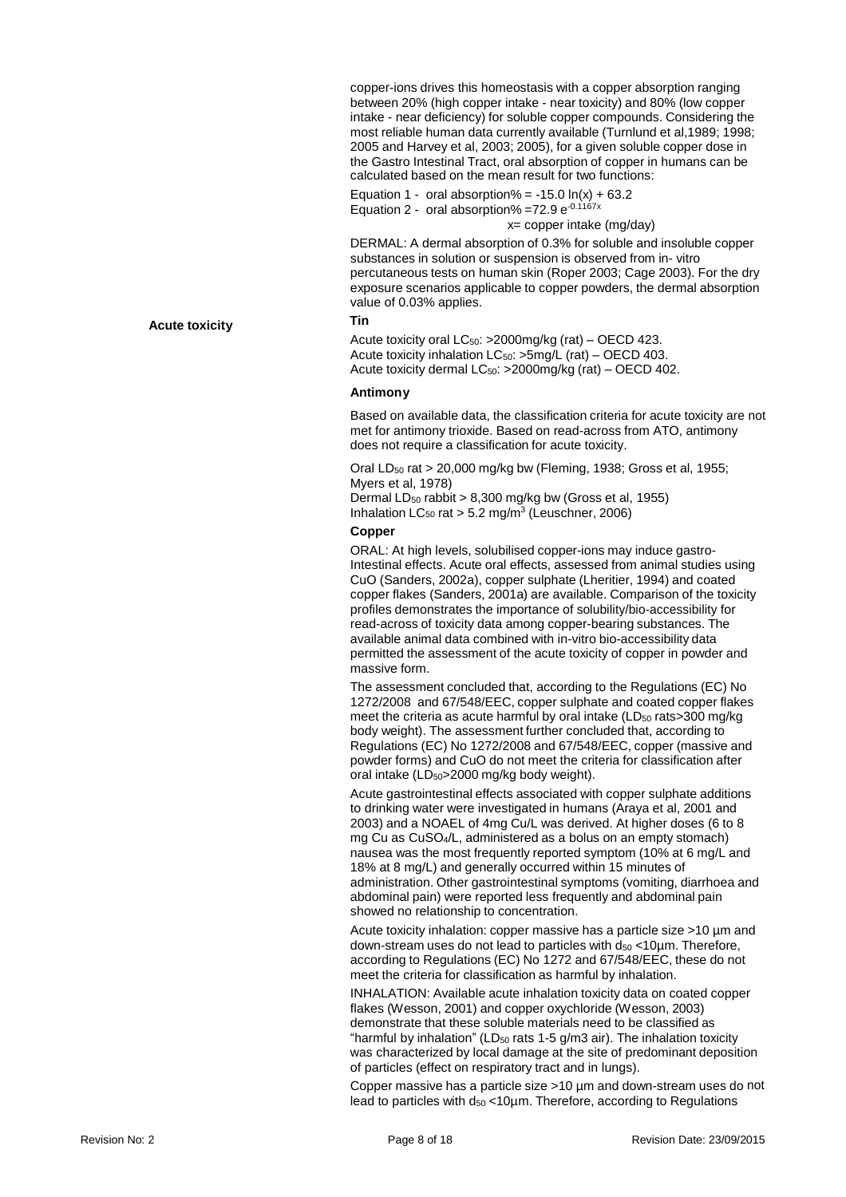copper-ions drives this homeostasis with a copper absorption ranging between 20% (high copper intake - near toxicity) and 80% (low copper intake - near deficiency) for soluble copper compounds. Considering the most reliable human data currently available (Turnlund et al,1989; 1998; 2005 and Harvey et al, 2003; 2005), for a given soluble copper dose in the Gastro Intestinal Tract, oral absorption of copper in humans can be calculated based on the mean result for two functions:

Equation 1 - oral absorption% =  $-15.0 \ln(x) + 63.2$ Equation 2 -  $\,$  oral absorption% =72.9  $e^{-0.1167x}$ 

x= copper intake (mg/day)

DERMAL: A dermal absorption of 0.3% for soluble and insoluble copper substances in solution or suspension is observed from in- vitro percutaneous tests on human skin (Roper 2003; Cage 2003). For the dry exposure scenarios applicable to copper powders, the dermal absorption value of 0.03% applies.

## **Tin**

Acute toxicity oral  $LC_{50}$ : >2000mg/kg (rat) – OECD 423. Acute toxicity inhalation LC<sub>50</sub>: >5mg/L (rat) – OECD 403. Acute toxicity dermal LC<sub>50</sub>: >2000mg/kg (rat) – OECD 402.

#### **Antimony**

Based on available data, the classification criteria for acute toxicity are not met for antimony trioxide. Based on read-across from ATO, antimony does not require a classification for acute toxicity.

Oral LD<sup>50</sup> rat > 20,000 mg/kg bw (Fleming, 1938; Gross et al, 1955; Myers et al, 1978) Dermal LD<sub>50</sub> rabbit > 8,300 mg/kg bw (Gross et al, 1955) Inhalation  $LC_{50}$  rat > 5.2 mg/m<sup>3</sup> (Leuschner, 2006)

#### **Copper**

ORAL: At high levels, solubilised copper-ions may induce gastro-Intestinal effects. Acute oral effects, assessed from animal studies using CuO (Sanders, 2002a), copper sulphate (Lheritier, 1994) and coated copper flakes (Sanders, 2001a) are available. Comparison of the toxicity profiles demonstrates the importance of solubility/bio-accessibility for read-across of toxicity data among copper-bearing substances. The available animal data combined with in-vitro bio-accessibility data permitted the assessment of the acute toxicity of copper in powder and massive form.

The assessment concluded that, according to the Regulations (EC) No 1272/2008 and 67/548/EEC, copper sulphate and coated copper flakes meet the criteria as acute harmful by oral intake  $(LD<sub>50</sub>$  rats>300 mg/kg body weight). The assessment further concluded that, according to Regulations (EC) No 1272/2008 and 67/548/EEC, copper (massive and powder forms) and CuO do not meet the criteria for classification after oral intake (LD<sub>50</sub>>2000 mg/kg body weight).

Acute gastrointestinal effects associated with copper sulphate additions to drinking water were investigated in humans (Araya et al, 2001 and 2003) and a NOAEL of 4mg Cu/L was derived. At higher doses (6 to 8 mg Cu as CuSO4/L, administered as a bolus on an empty stomach) nausea was the most frequently reported symptom (10% at 6 mg/L and 18% at 8 mg/L) and generally occurred within 15 minutes of administration. Other gastrointestinal symptoms (vomiting, diarrhoea and abdominal pain) were reported less frequently and abdominal pain showed no relationship to concentration.

Acute toxicity inhalation: copper massive has a particle size >10 µm and down-stream uses do not lead to particles with  $d_{50}$  <10 $\mu$ m. Therefore, according to Regulations (EC) No 1272 and 67/548/EEC, these do not meet the criteria for classification as harmful by inhalation.

INHALATION: Available acute inhalation toxicity data on coated copper flakes (Wesson, 2001) and copper oxychloride (Wesson, 2003) demonstrate that these soluble materials need to be classified as "harmful by inhalation" (LD $_{50}$  rats 1-5 g/m3 air). The inhalation toxicity was characterized by local damage at the site of predominant deposition of particles (effect on respiratory tract and in lungs).

Copper massive has a particle size >10 µm and down-stream uses do not lead to particles with  $d_{50}$  < 10 $\mu$ m. Therefore, according to Regulations

#### **Acute toxicity**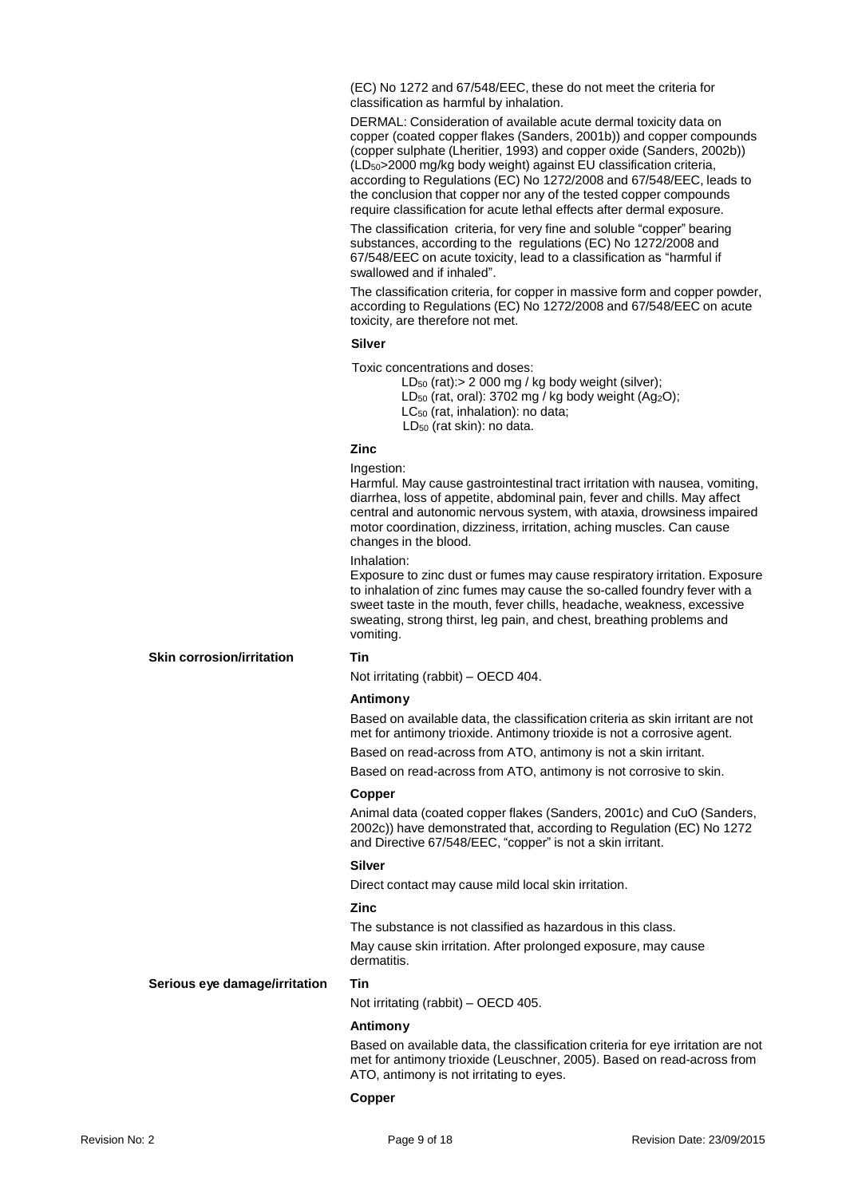(EC) No 1272 and 67/548/EEC, these do not meet the criteria for classification as harmful by inhalation.

DERMAL: Consideration of available acute dermal toxicity data on copper (coated copper flakes (Sanders, 2001b)) and copper compounds (copper sulphate (Lheritier, 1993) and copper oxide (Sanders, 2002b)) (LD50>2000 mg/kg body weight) against EU classification criteria, according to Regulations (EC) No 1272/2008 and 67/548/EEC, leads to the conclusion that copper nor any of the tested copper compounds require classification for acute lethal effects after dermal exposure.

The classification criteria, for very fine and soluble "copper" bearing substances, according to the regulations (EC) No 1272/2008 and 67/548/EEC on acute toxicity, lead to a classification as "harmful if swallowed and if inhaled".

The classification criteria, for copper in massive form and copper powder, according to Regulations (EC) No 1272/2008 and 67/548/EEC on acute toxicity, are therefore not met.

## **Silver**

Toxic concentrations and doses:

LD<sub>50</sub> (rat): > 2 000 mg / kg body weight (silver); LD<sub>50</sub> (rat, oral): 3702 mg / kg body weight (Ag<sub>2</sub>O); LC<sub>50</sub> (rat, inhalation): no data; LD<sup>50</sup> (rat skin): no data.

## **Zinc**

Ingestion:

Harmful. May cause gastrointestinal tract irritation with nausea, vomiting, diarrhea, loss of appetite, abdominal pain, fever and chills. May affect central and autonomic nervous system, with ataxia, drowsiness impaired motor coordination, dizziness, irritation, aching muscles. Can cause changes in the blood.

#### Inhalation:

Exposure to zinc dust or fumes may cause respiratory irritation. Exposure to inhalation of zinc fumes may cause the so-called foundry fever with a sweet taste in the mouth, fever chills, headache, weakness, excessive sweating, strong thirst, leg pain, and chest, breathing problems and vomiting.

#### **Skin corrosion/irritation Tin**

Not irritating (rabbit) – OECD 404.

## **Antimony**

Based on available data, the classification criteria as skin irritant are not met for antimony trioxide. Antimony trioxide is not a corrosive agent.

Based on read-across from ATO, antimony is not a skin irritant.

Based on read-across from ATO, antimony is not corrosive to skin.

#### **Copper**

Animal data (coated copper flakes (Sanders, 2001c) and CuO (Sanders, 2002c)) have demonstrated that, according to Regulation (EC) No 1272 and Directive 67/548/EEC, "copper" is not a skin irritant.

## **Silver**

Direct contact may cause mild local skin irritation.

## **Zinc**

The substance is not classified as hazardous in this class.

May cause skin irritation. After prolonged exposure, may cause dermatitis.

#### **Serious eye damage/irritation Tin**

Not irritating (rabbit) – OECD 405.

#### **Antimony**

Based on available data, the classification criteria for eye irritation are not met for antimony trioxide (Leuschner, 2005). Based on read-across from ATO, antimony is not irritating to eyes.

## **Copper**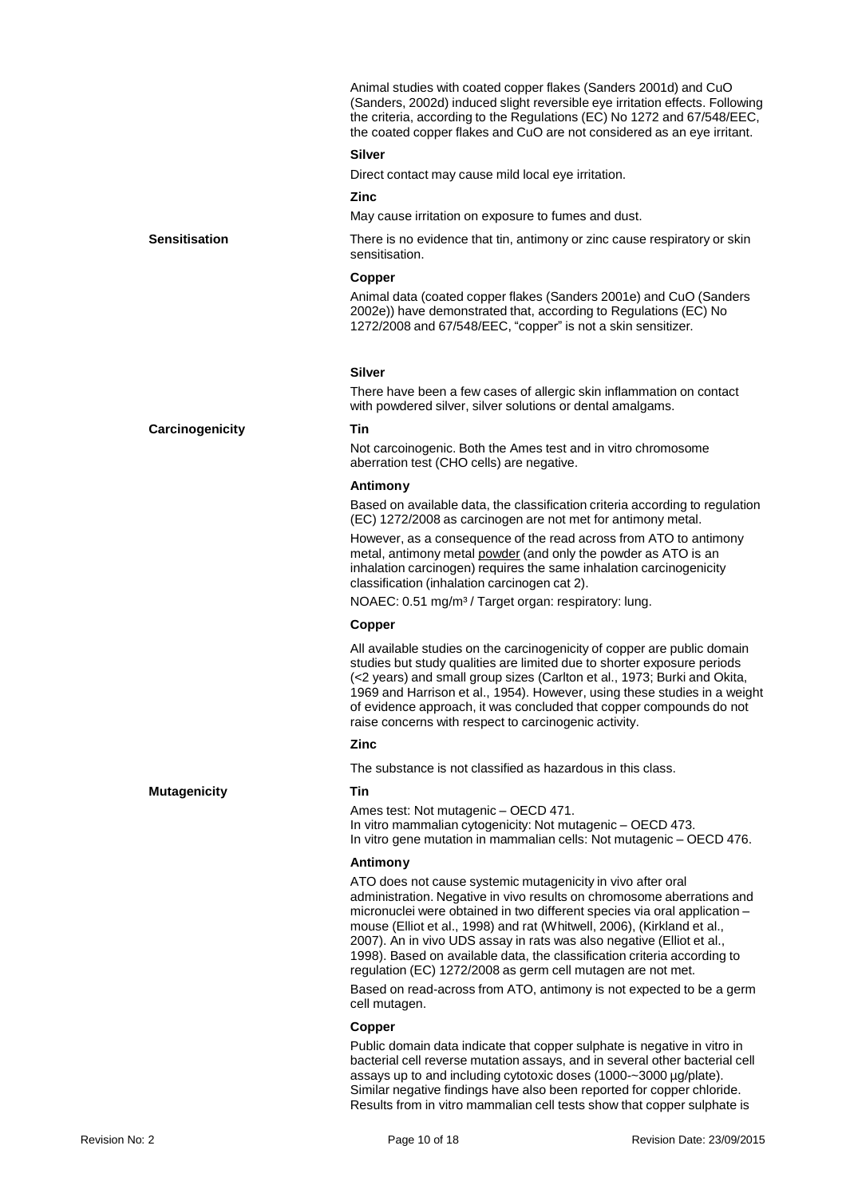Animal studies with coated copper flakes (Sanders 2001d) and CuO (Sanders, 2002d) induced slight reversible eye irritation effects. Following the criteria, according to the Regulations (EC) No 1272 and 67/548/EEC, the coated copper flakes and CuO are not considered as an eye irritant.

#### **Silver**

Direct contact may cause mild local eye irritation.

## **Zinc**

May cause irritation on exposure to fumes and dust.

**Sensitisation** There is no evidence that tin, antimony or zinc cause respiratory or skin sensitisation.

#### **Copper**

Animal data (coated copper flakes (Sanders 2001e) and CuO (Sanders 2002e)) have demonstrated that, according to Regulations (EC) No 1272/2008 and 67/548/EEC, "copper" is not a skin sensitizer.

#### **Silver**

There have been a few cases of allergic skin inflammation on contact with powdered silver, silver solutions or dental amalgams.

## **Carcinogenicity Tin**

Not carcoinogenic. Both the Ames test and in vitro chromosome aberration test (CHO cells) are negative.

#### **Antimony**

Based on available data, the classification criteria according to regulation (EC) 1272/2008 as carcinogen are not met for antimony metal.

However, as a consequence of the read across from ATO to antimony metal, antimony metal powder (and only the powder as ATO is an inhalation carcinogen) requires the same inhalation carcinogenicity classification (inhalation carcinogen cat 2).

NOAEC: 0.51 mg/m<sup>3</sup> / Target organ: respiratory: lung.

#### **Copper**

All available studies on the carcinogenicity of copper are public domain studies but study qualities are limited due to shorter exposure periods (<2 years) and small group sizes (Carlton et al., 1973; Burki and Okita, 1969 and Harrison et al., 1954). However, using these studies in a weight of evidence approach, it was concluded that copper compounds do not raise concerns with respect to carcinogenic activity.

#### **Zinc**

The substance is not classified as hazardous in this class.

Ames test: Not mutagenic – OECD 471. In vitro mammalian cytogenicity: Not mutagenic – OECD 473. In vitro gene mutation in mammalian cells: Not mutagenic – OECD 476.

## **Antimony**

ATO does not cause systemic mutagenicity in vivo after oral administration. Negative in vivo results on chromosome aberrations and micronuclei were obtained in two different species via oral application – mouse (Elliot et al., 1998) and rat (Whitwell, 2006), (Kirkland et al., 2007). An in vivo UDS assay in rats was also negative (Elliot et al., 1998). Based on available data, the classification criteria according to regulation (EC) 1272/2008 as germ cell mutagen are not met.

Based on read-across from ATO, antimony is not expected to be a germ cell mutagen.

## **Copper**

Public domain data indicate that copper sulphate is negative in vitro in bacterial cell reverse mutation assays, and in several other bacterial cell assays up to and including cytotoxic doses (1000-~3000 µg/plate). Similar negative findings have also been reported for copper chloride. Results from in vitro mammalian cell tests show that copper sulphate is

**Mutagenicity Tin**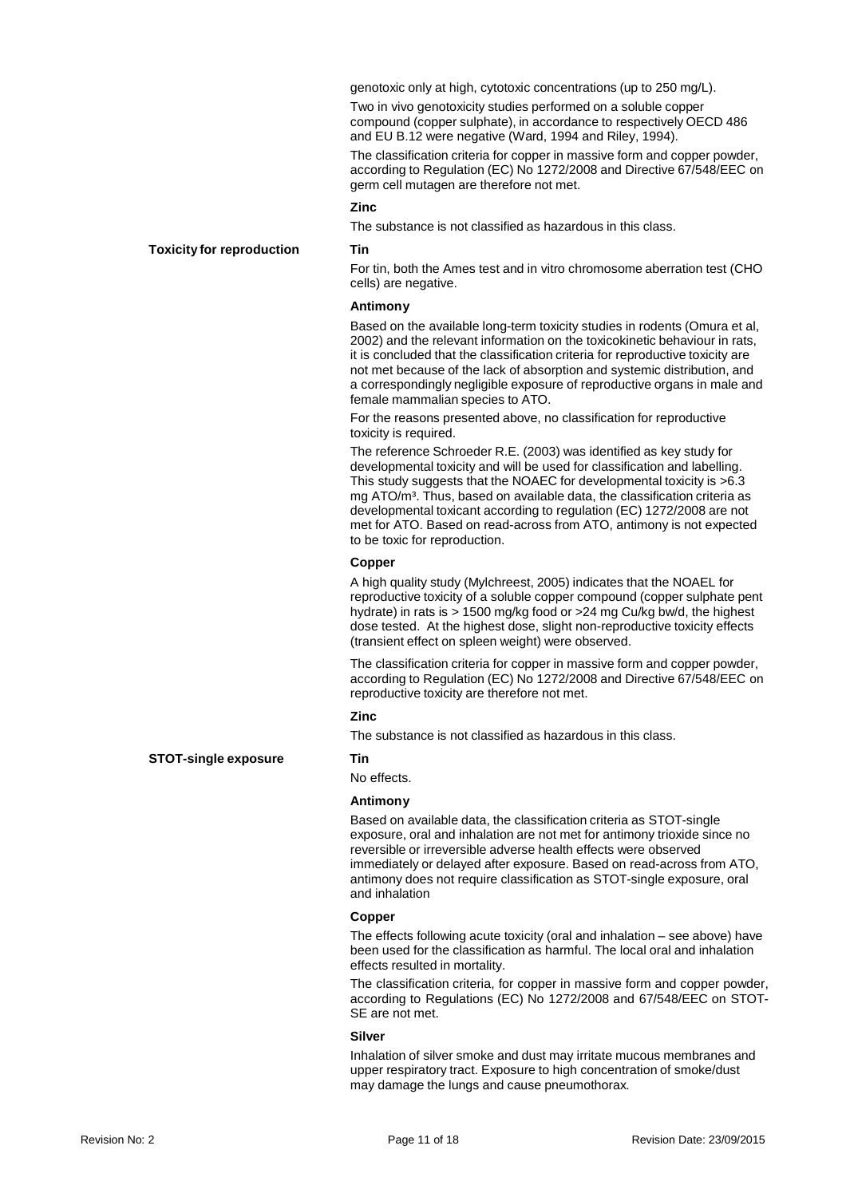genotoxic only at high, cytotoxic concentrations (up to 250 mg/L). Two in vivo genotoxicity studies performed on a soluble copper compound (copper sulphate), in accordance to respectively OECD 486 and EU B.12 were negative (Ward, 1994 and Riley, 1994).

The classification criteria for copper in massive form and copper powder, according to Regulation (EC) No 1272/2008 and Directive 67/548/EEC on germ cell mutagen are therefore not met.

## **Zinc**

The substance is not classified as hazardous in this class.

#### **Toxicity for reproduction Tin**

For tin, both the Ames test and in vitro chromosome aberration test (CHO cells) are negative.

## **Antimony**

Based on the available long-term toxicity studies in rodents (Omura et al, 2002) and the relevant information on the toxicokinetic behaviour in rats, it is concluded that the classification criteria for reproductive toxicity are not met because of the lack of absorption and systemic distribution, and a correspondingly negligible exposure of reproductive organs in male and female mammalian species to ATO.

For the reasons presented above, no classification for reproductive toxicity is required.

The reference Schroeder R.E. (2003) was identified as key study for developmental toxicity and will be used for classification and labelling. This study suggests that the NOAEC for developmental toxicity is >6.3 mg ATO/m³. Thus, based on available data, the classification criteria as developmental toxicant according to regulation (EC) 1272/2008 are not met for ATO. Based on read-across from ATO, antimony is not expected to be toxic for reproduction.

#### **Copper**

A high quality study (Mylchreest, 2005) indicates that the NOAEL for reproductive toxicity of a soluble copper compound (copper sulphate pent hydrate) in rats is > 1500 mg/kg food or >24 mg Cu/kg bw/d, the highest dose tested. At the highest dose, slight non-reproductive toxicity effects (transient effect on spleen weight) were observed.

The classification criteria for copper in massive form and copper powder, according to Regulation (EC) No 1272/2008 and Directive 67/548/EEC on reproductive toxicity are therefore not met.

## **Zinc**

The substance is not classified as hazardous in this class.

No effects.

## **Antimony**

Based on available data, the classification criteria as STOT-single exposure, oral and inhalation are not met for antimony trioxide since no reversible or irreversible adverse health effects were observed immediately or delayed after exposure. Based on read-across from ATO, antimony does not require classification as STOT-single exposure, oral and inhalation

#### **Copper**

The effects following acute toxicity (oral and inhalation – see above) have been used for the classification as harmful. The local oral and inhalation effects resulted in mortality.

The classification criteria, for copper in massive form and copper powder, according to Regulations (EC) No 1272/2008 and 67/548/EEC on STOT-SE are not met.

#### **Silver**

Inhalation of silver smoke and dust may irritate mucous membranes and upper respiratory tract. Exposure to high concentration of smoke/dust may damage the lungs and cause pneumothorax.

**STOT-single exposure Tin**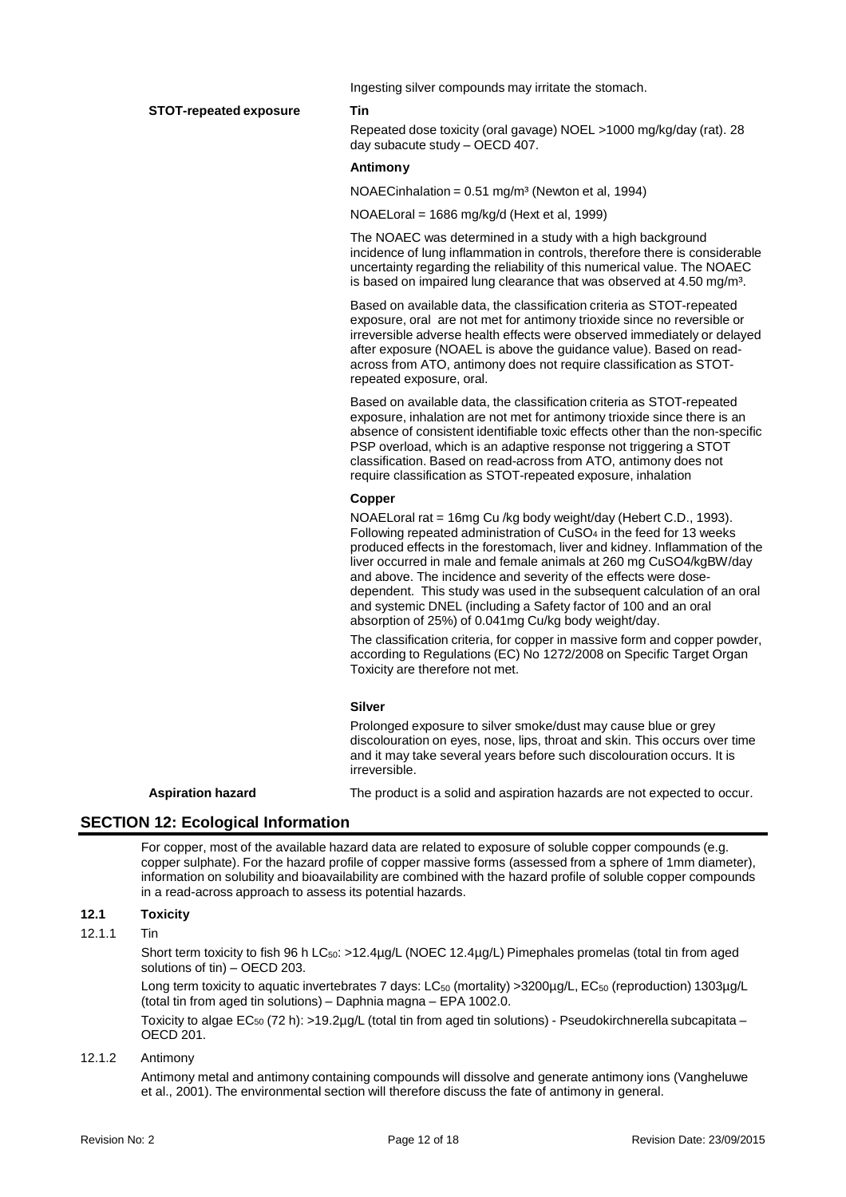**STOT-repeated exposure Tin**

Ingesting silver compounds may irritate the stomach.

Repeated dose toxicity (oral gavage) NOEL >1000 mg/kg/day (rat). 28 day subacute study – OECD 407.

## **Antimony**

NOAECinhalation =  $0.51 \text{ mg/m}^3$  (Newton et al, 1994)

NOAELoral = 1686 mg/kg/d (Hext et al, 1999)

The NOAEC was determined in a study with a high background incidence of lung inflammation in controls, therefore there is considerable uncertainty regarding the reliability of this numerical value. The NOAEC is based on impaired lung clearance that was observed at 4.50 mg/m<sup>3</sup>.

Based on available data, the classification criteria as STOT-repeated exposure, oral are not met for antimony trioxide since no reversible or irreversible adverse health effects were observed immediately or delayed after exposure (NOAEL is above the guidance value). Based on readacross from ATO, antimony does not require classification as STOTrepeated exposure, oral.

Based on available data, the classification criteria as STOT-repeated exposure, inhalation are not met for antimony trioxide since there is an absence of consistent identifiable toxic effects other than the non-specific PSP overload, which is an adaptive response not triggering a STOT classification. Based on read-across from ATO, antimony does not require classification as STOT-repeated exposure, inhalation

## **Copper**

NOAELoral rat = 16mg Cu /kg body weight/day (Hebert C.D., 1993). Following repeated administration of CuSO<sup>4</sup> in the feed for 13 weeks produced effects in the forestomach, liver and kidney. Inflammation of the liver occurred in male and female animals at 260 mg CuSO4/kgBW/day and above. The incidence and severity of the effects were dosedependent. This study was used in the subsequent calculation of an oral and systemic DNEL (including a Safety factor of 100 and an oral absorption of 25%) of 0.041mg Cu/kg body weight/day.

The classification criteria, for copper in massive form and copper powder, according to Regulations (EC) No 1272/2008 on Specific Target Organ Toxicity are therefore not met.

## **Silver**

Prolonged exposure to silver smoke/dust may cause blue or grey discolouration on eyes, nose, lips, throat and skin. This occurs over time and it may take several years before such discolouration occurs. It is irreversible.

**Aspiration hazard** The product is a solid and aspiration hazards are not expected to occur.

## **SECTION 12: Ecological Information**

For copper, most of the available hazard data are related to exposure of soluble copper compounds (e.g. copper sulphate). For the hazard profile of copper massive forms (assessed from a sphere of 1mm diameter), information on solubility and bioavailability are combined with the hazard profile of soluble copper compounds in a read-across approach to assess its potential hazards.

## **12.1 Toxicity**

12.1.1 Tin

Short term toxicity to fish 96 h LC<sub>50</sub>: >12.4µg/L (NOEC 12.4µg/L) Pimephales promelas (total tin from aged solutions of tin) – OECD 203.

Long term toxicity to aquatic invertebrates 7 days: LC<sub>50</sub> (mortality) >3200µg/L, EC<sub>50</sub> (reproduction) 1303µg/L (total tin from aged tin solutions) – Daphnia magna – EPA 1002.0.

Toxicity to algae EC<sub>50</sub> (72 h): >19.2µg/L (total tin from aged tin solutions) - Pseudokirchnerella subcapitata – OECD 201.

### 12.1.2 Antimony

Antimony metal and antimony containing compounds will dissolve and generate antimony ions (Vangheluwe et al., 2001). The environmental section will therefore discuss the fate of antimony in general.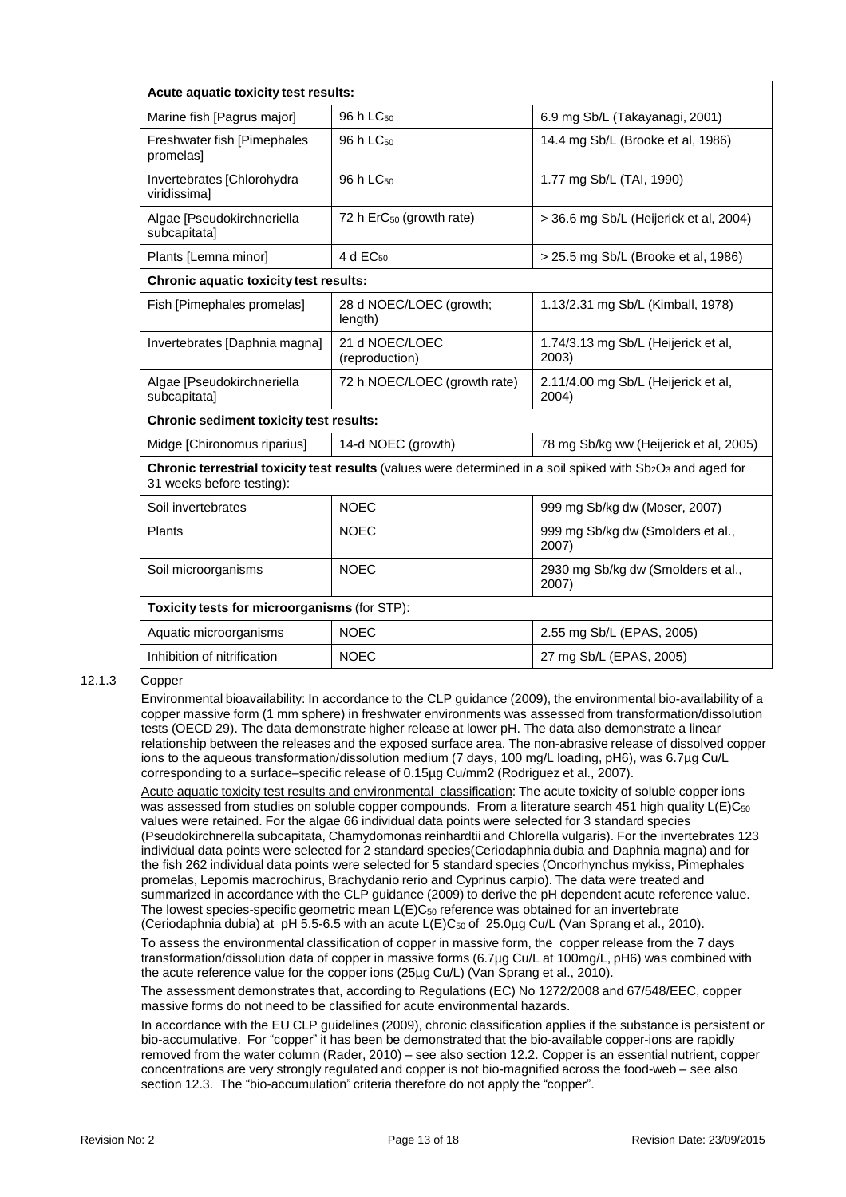| Acute aquatic toxicity test results:                                                                                                        |                                      |                                              |  |  |
|---------------------------------------------------------------------------------------------------------------------------------------------|--------------------------------------|----------------------------------------------|--|--|
| Marine fish [Pagrus major]                                                                                                                  | 96 h LC <sub>50</sub>                | 6.9 mg Sb/L (Takayanagi, 2001)               |  |  |
| Freshwater fish [Pimephales<br>promelas]                                                                                                    | 96 h LC <sub>50</sub>                | 14.4 mg Sb/L (Brooke et al, 1986)            |  |  |
| Invertebrates [Chlorohydra<br>viridissimal                                                                                                  | 96 h LC <sub>50</sub>                | 1.77 mg Sb/L (TAI, 1990)                     |  |  |
| Algae [Pseudokirchneriella<br>subcapitata]                                                                                                  | 72 h ErC <sub>50</sub> (growth rate) | > 36.6 mg Sb/L (Heijerick et al, 2004)       |  |  |
| Plants [Lemna minor]                                                                                                                        | 4 d EC <sub>50</sub>                 | > 25.5 mg Sb/L (Brooke et al, 1986)          |  |  |
| <b>Chronic aquatic toxicity test results:</b>                                                                                               |                                      |                                              |  |  |
| Fish [Pimephales promelas]                                                                                                                  | 28 d NOEC/LOEC (growth;<br>length)   | 1.13/2.31 mg Sb/L (Kimball, 1978)            |  |  |
| Invertebrates [Daphnia magna]                                                                                                               | 21 d NOEC/LOEC<br>(reproduction)     | 1.74/3.13 mg Sb/L (Heijerick et al,<br>2003) |  |  |
| Algae [Pseudokirchneriella<br>subcapitata]                                                                                                  | 72 h NOEC/LOEC (growth rate)         | 2.11/4.00 mg Sb/L (Heijerick et al,<br>2004) |  |  |
| <b>Chronic sediment toxicity test results:</b>                                                                                              |                                      |                                              |  |  |
| Midge [Chironomus riparius]                                                                                                                 | 14-d NOEC (growth)                   | 78 mg Sb/kg ww (Heijerick et al, 2005)       |  |  |
| Chronic terrestrial toxicity test results (values were determined in a soil spiked with $Sb_2O_3$ and aged for<br>31 weeks before testing): |                                      |                                              |  |  |
| Soil invertebrates                                                                                                                          | <b>NOEC</b>                          | 999 mg Sb/kg dw (Moser, 2007)                |  |  |
| Plants                                                                                                                                      | <b>NOEC</b>                          | 999 mg Sb/kg dw (Smolders et al.,<br>2007)   |  |  |
| Soil microorganisms                                                                                                                         | <b>NOEC</b>                          | 2930 mg Sb/kg dw (Smolders et al.,<br>2007)  |  |  |
| Toxicity tests for microorganisms (for STP):                                                                                                |                                      |                                              |  |  |
| Aquatic microorganisms                                                                                                                      | <b>NOEC</b>                          | 2.55 mg Sb/L (EPAS, 2005)                    |  |  |
| Inhibition of nitrification                                                                                                                 | <b>NOEC</b>                          | 27 mg Sb/L (EPAS, 2005)                      |  |  |

## 12.1.3 Copper

Environmental bioavailability: In accordance to the CLP guidance (2009), the environmental bio-availability of a copper massive form (1 mm sphere) in freshwater environments was assessed from transformation/dissolution tests (OECD 29). The data demonstrate higher release at lower pH. The data also demonstrate a linear relationship between the releases and the exposed surface area. The non-abrasive release of dissolved copper ions to the aqueous transformation/dissolution medium (7 days, 100 mg/L loading, pH6), was 6.7µg Cu/L corresponding to a surface–specific release of 0.15µg Cu/mm2 (Rodriguez et al., 2007).

Acute aquatic toxicity test results and environmental classification: The acute toxicity of soluble copper ions was assessed from studies on soluble copper compounds. From a literature search 451 high quality L(E)C<sub>50</sub> values were retained. For the algae 66 individual data points were selected for 3 standard species (Pseudokirchnerella subcapitata, Chamydomonas reinhardtii and Chlorella vulgaris). For the invertebrates 123 individual data points were selected for 2 standard species(Ceriodaphnia dubia and Daphnia magna) and for the fish 262 individual data points were selected for 5 standard species (Oncorhynchus mykiss, Pimephales promelas, Lepomis macrochirus, Brachydanio rerio and Cyprinus carpio). The data were treated and summarized in accordance with the CLP guidance (2009) to derive the pH dependent acute reference value. The lowest species-specific geometric mean  $L(E)C_{50}$  reference was obtained for an invertebrate (Ceriodaphnia dubia) at pH 5.5-6.5 with an acute L(E)C<sup>50</sup> of 25.0µg Cu/L (Van Sprang et al., 2010).

To assess the environmental classification of copper in massive form, the copper release from the 7 days transformation/dissolution data of copper in massive forms (6.7µg Cu/L at 100mg/L, pH6) was combined with the acute reference value for the copper ions (25µg Cu/L) (Van Sprang et al., 2010).

The assessment demonstrates that, according to Regulations (EC) No 1272/2008 and 67/548/EEC, copper massive forms do not need to be classified for acute environmental hazards.

In accordance with the EU CLP guidelines (2009), chronic classification applies if the substance is persistent or bio-accumulative. For "copper" it has been be demonstrated that the bio-available copper-ions are rapidly removed from the water column (Rader, 2010) – see also section 12.2. Copper is an essential nutrient, copper concentrations are very strongly regulated and copper is not bio-magnified across the food-web – see also section 12.3. The "bio-accumulation" criteria therefore do not apply the "copper".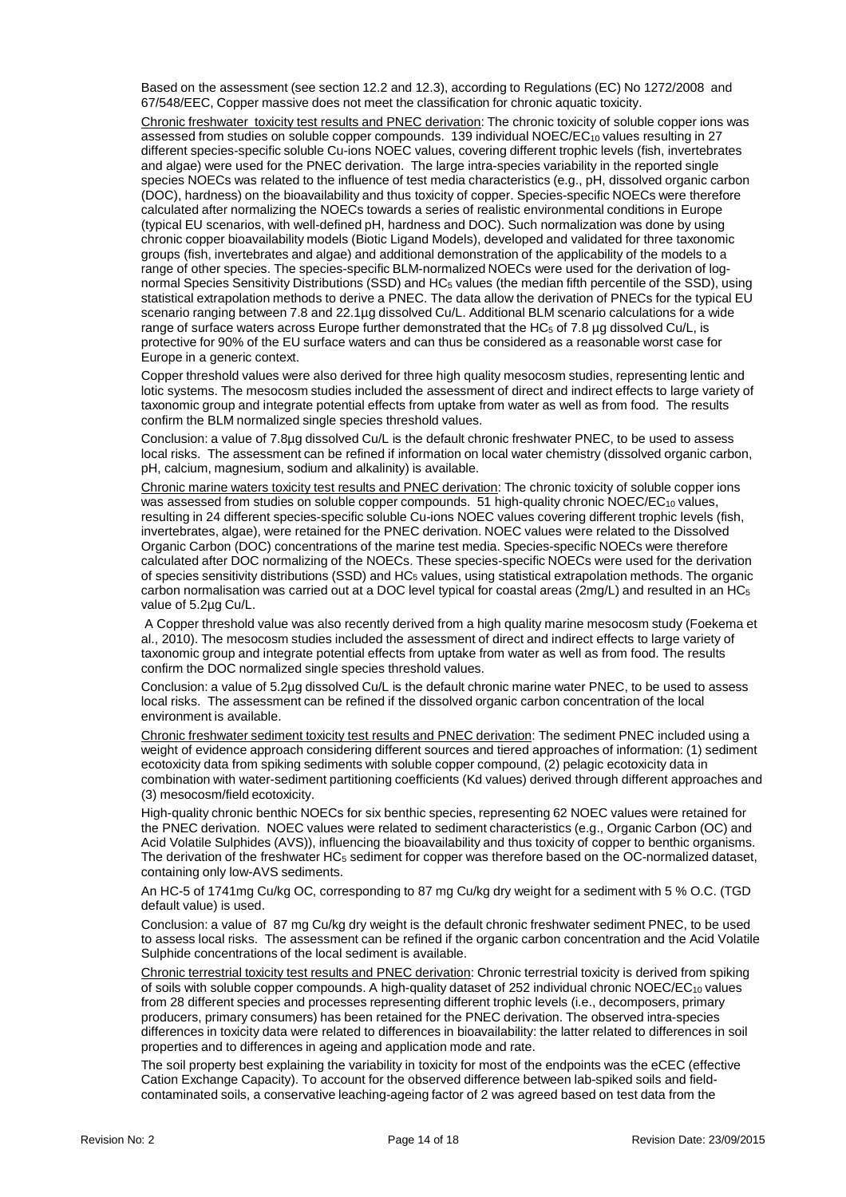Based on the assessment (see section 12.2 and 12.3), according to Regulations (EC) No 1272/2008 and 67/548/EEC, Copper massive does not meet the classification for chronic aquatic toxicity.

Chronic freshwater toxicity test results and PNEC derivation: The chronic toxicity of soluble copper ions was assessed from studies on soluble copper compounds. 139 individual NOEC/EC<sub>10</sub> values resulting in 27 different species-specific soluble Cu-ions NOEC values, covering different trophic levels (fish, invertebrates and algae) were used for the PNEC derivation. The large intra-species variability in the reported single species NOECs was related to the influence of test media characteristics (e.g., pH, dissolved organic carbon (DOC), hardness) on the bioavailability and thus toxicity of copper. Species-specific NOECs were therefore calculated after normalizing the NOECs towards a series of realistic environmental conditions in Europe (typical EU scenarios, with well-defined pH, hardness and DOC). Such normalization was done by using chronic copper bioavailability models (Biotic Ligand Models), developed and validated for three taxonomic groups (fish, invertebrates and algae) and additional demonstration of the applicability of the models to a range of other species. The species-specific BLM-normalized NOECs were used for the derivation of lognormal Species Sensitivity Distributions (SSD) and HC<sub>5</sub> values (the median fifth percentile of the SSD), using statistical extrapolation methods to derive a PNEC. The data allow the derivation of PNECs for the typical EU scenario ranging between 7.8 and 22.1µg dissolved Cu/L. Additional BLM scenario calculations for a wide range of surface waters across Europe further demonstrated that the HC $_5$  of 7.8 µg dissolved Cu/L, is protective for 90% of the EU surface waters and can thus be considered as a reasonable worst case for Europe in a generic context.

Copper threshold values were also derived for three high quality mesocosm studies, representing lentic and lotic systems. The mesocosm studies included the assessment of direct and indirect effects to large variety of taxonomic group and integrate potential effects from uptake from water as well as from food. The results confirm the BLM normalized single species threshold values.

Conclusion: a value of 7.8µg dissolved Cu/L is the default chronic freshwater PNEC, to be used to assess local risks. The assessment can be refined if information on local water chemistry (dissolved organic carbon, pH, calcium, magnesium, sodium and alkalinity) is available.

Chronic marine waters toxicity test results and PNEC derivation: The chronic toxicity of soluble copper ions was assessed from studies on soluble copper compounds. 51 high-quality chronic NOEC/EC<sub>10</sub> values, resulting in 24 different species-specific soluble Cu-ions NOEC values covering different trophic levels (fish, invertebrates, algae), were retained for the PNEC derivation. NOEC values were related to the Dissolved Organic Carbon (DOC) concentrations of the marine test media. Species-specific NOECs were therefore calculated after DOC normalizing of the NOECs. These species-specific NOECs were used for the derivation of species sensitivity distributions (SSD) and HC<sup>5</sup> values, using statistical extrapolation methods. The organic carbon normalisation was carried out at a DOC level typical for coastal areas ( $2mg/L$ ) and resulted in an HC<sub>5</sub> value of 5.2µg Cu/L.

A Copper threshold value was also recently derived from a high quality marine mesocosm study (Foekema et al., 2010). The mesocosm studies included the assessment of direct and indirect effects to large variety of taxonomic group and integrate potential effects from uptake from water as well as from food. The results confirm the DOC normalized single species threshold values.

Conclusion: a value of 5.2µg dissolved Cu/L is the default chronic marine water PNEC, to be used to assess local risks. The assessment can be refined if the dissolved organic carbon concentration of the local environment is available.

Chronic freshwater sediment toxicity test results and PNEC derivation: The sediment PNEC included using a weight of evidence approach considering different sources and tiered approaches of information: (1) sediment ecotoxicity data from spiking sediments with soluble copper compound, (2) pelagic ecotoxicity data in combination with water-sediment partitioning coefficients (Kd values) derived through different approaches and (3) mesocosm/field ecotoxicity.

High-quality chronic benthic NOECs for six benthic species, representing 62 NOEC values were retained for the PNEC derivation. NOEC values were related to sediment characteristics (e.g., Organic Carbon (OC) and Acid Volatile Sulphides (AVS)), influencing the bioavailability and thus toxicity of copper to benthic organisms. The derivation of the freshwater HC<sub>5</sub> sediment for copper was therefore based on the OC-normalized dataset, containing only low-AVS sediments.

An HC-5 of 1741mg Cu/kg OC, corresponding to 87 mg Cu/kg dry weight for a sediment with 5 % O.C. (TGD default value) is used.

Conclusion: a value of 87 mg Cu/kg dry weight is the default chronic freshwater sediment PNEC, to be used to assess local risks. The assessment can be refined if the organic carbon concentration and the Acid Volatile Sulphide concentrations of the local sediment is available.

Chronic terrestrial toxicity test results and PNEC derivation: Chronic terrestrial toxicity is derived from spiking of soils with soluble copper compounds. A high-quality dataset of 252 individual chronic NOEC/EC<sub>10</sub> values from 28 different species and processes representing different trophic levels (i.e., decomposers, primary producers, primary consumers) has been retained for the PNEC derivation. The observed intra-species differences in toxicity data were related to differences in bioavailability: the latter related to differences in soil properties and to differences in ageing and application mode and rate.

The soil property best explaining the variability in toxicity for most of the endpoints was the eCEC (effective Cation Exchange Capacity). To account for the observed difference between lab-spiked soils and fieldcontaminated soils, a conservative leaching-ageing factor of 2 was agreed based on test data from the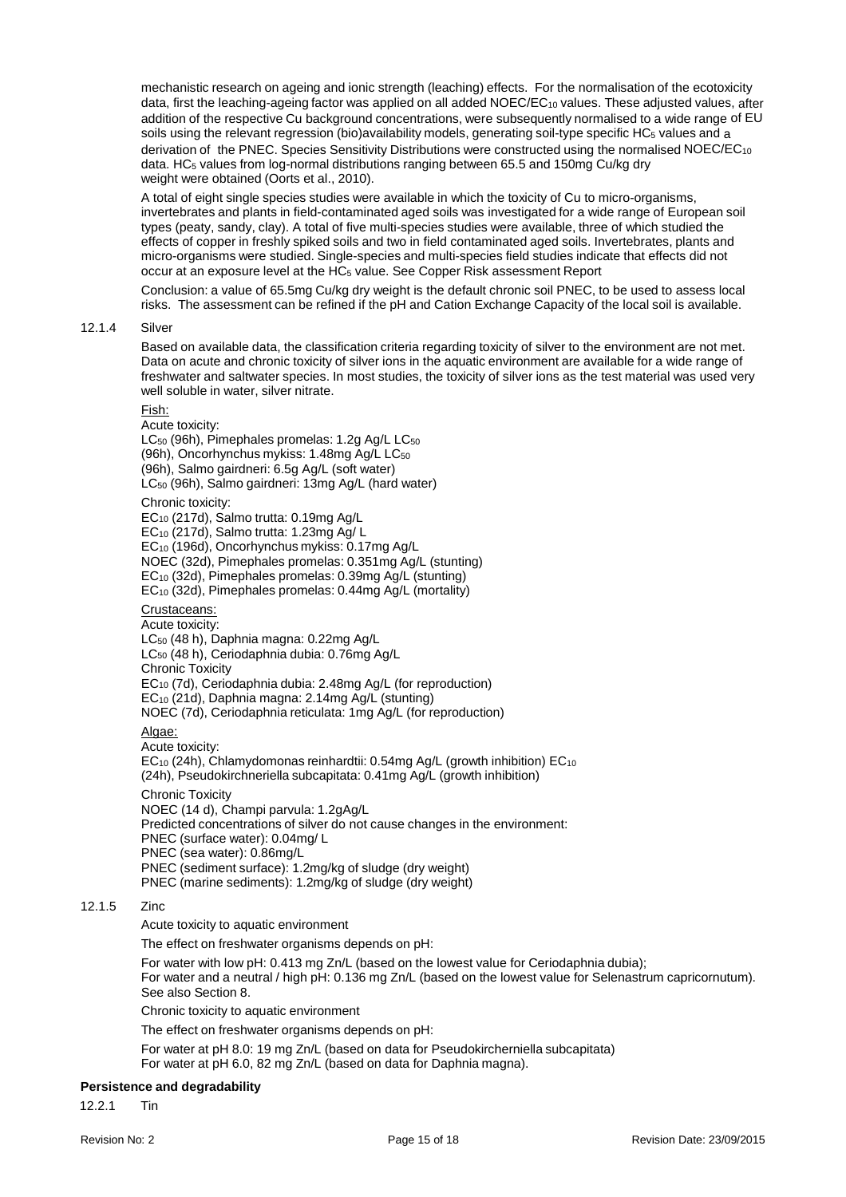mechanistic research on ageing and ionic strength (leaching) effects. For the normalisation of the ecotoxicity data, first the leaching-ageing factor was applied on all added NOEC/EC10 values. These adjusted values, after addition of the respective Cu background concentrations, were subsequently normalised to a wide range of EU soils using the relevant regression (bio)availability models, generating soil-type specific HC<sub>5</sub> values and a derivation of the PNEC. Species Sensitivity Distributions were constructed using the normalised NOEC/EC10 data. HC<sub>5</sub> values from log-normal distributions ranging between 65.5 and 150mg Cu/kg dry weight were obtained (Oorts et al., 2010).

A total of eight single species studies were available in which the toxicity of Cu to micro-organisms, invertebrates and plants in field-contaminated aged soils was investigated for a wide range of European soil types (peaty, sandy, clay). A total of five multi-species studies were available, three of which studied the effects of copper in freshly spiked soils and two in field contaminated aged soils. Invertebrates, plants and micro-organisms were studied. Single-species and multi-species field studies indicate that effects did not occur at an exposure level at the HC<sub>5</sub> value. See Copper Risk assessment Report

Conclusion: a value of 65.5mg Cu/kg dry weight is the default chronic soil PNEC, to be used to assess local risks. The assessment can be refined if the pH and Cation Exchange Capacity of the local soil is available.

## 12.1.4 Silver

Based on available data, the classification criteria regarding toxicity of silver to the environment are not met. Data on acute and chronic toxicity of silver ions in the aquatic environment are available for a wide range of freshwater and saltwater species. In most studies, the toxicity of silver ions as the test material was used very well soluble in water, silver nitrate.

## Fish:

Acute toxicity: LC<sub>50</sub> (96h), Pimephales promelas: 1.2g Ag/L LC<sub>50</sub> (96h), Oncorhynchus mykiss: 1.48mg Ag/L LC<sub>50</sub> (96h), Salmo gairdneri: 6.5g Ag/L (soft water) LC<sup>50</sup> (96h), Salmo gairdneri: 13mg Ag/L (hard water) Chronic toxicity: EC<sup>10</sup> (217d), Salmo trutta: 0.19mg Ag/L EC<sup>10</sup> (217d), Salmo trutta: 1.23mg Ag/ L EC<sup>10</sup> (196d), Oncorhynchus mykiss: 0.17mg Ag/L NOEC (32d), Pimephales promelas: 0.351mg Ag/L (stunting) EC<sub>10</sub> (32d), Pimephales promelas: 0.39mg Ag/L (stunting) EC<sup>10</sup> (32d), Pimephales promelas: 0.44mg Ag/L (mortality) Crustaceans: Acute toxicity: LC<sub>50</sub> (48 h), Daphnia magna: 0.22mg Ag/L LC<sub>50</sub> (48 h), Ceriodaphnia dubia: 0.76mg Ag/L Chronic Toxicity EC<sup>10</sup> (7d), Ceriodaphnia dubia: 2.48mg Ag/L (for reproduction) EC<sup>10</sup> (21d), Daphnia magna: 2.14mg Ag/L (stunting) NOEC (7d), Ceriodaphnia reticulata: 1mg Ag/L (for reproduction) Algae: Acute toxicity:

EC<sub>10</sub> (24h), Chlamydomonas reinhardtii: 0.54mg Ag/L (growth inhibition) EC<sub>10</sub> (24h), Pseudokirchneriella subcapitata: 0.41mg Ag/L (growth inhibition)

#### Chronic Toxicity

NOEC (14 d), Champi parvula: 1.2gAg/L

Predicted concentrations of silver do not cause changes in the environment:

PNEC (surface water): 0.04mg/ L

PNEC (sea water): 0.86mg/L

PNEC (sediment surface): 1.2mg/kg of sludge (dry weight)

PNEC (marine sediments): 1.2mg/kg of sludge (dry weight)

## 12.1.5 Zinc

Acute toxicity to aquatic environment

The effect on freshwater organisms depends on pH:

For water with low pH: 0.413 mg Zn/L (based on the lowest value for Ceriodaphnia dubia); For water and a neutral / high pH: 0.136 mg Zn/L (based on the lowest value for Selenastrum capricornutum). See also Section 8.

Chronic toxicity to aquatic environment

The effect on freshwater organisms depends on pH:

For water at pH 8.0: 19 mg Zn/L (based on data for Pseudokircherniella subcapitata) For water at pH 6.0, 82 mg Zn/L (based on data for Daphnia magna).

## **Persistence and degradability**

12.2.1 Tin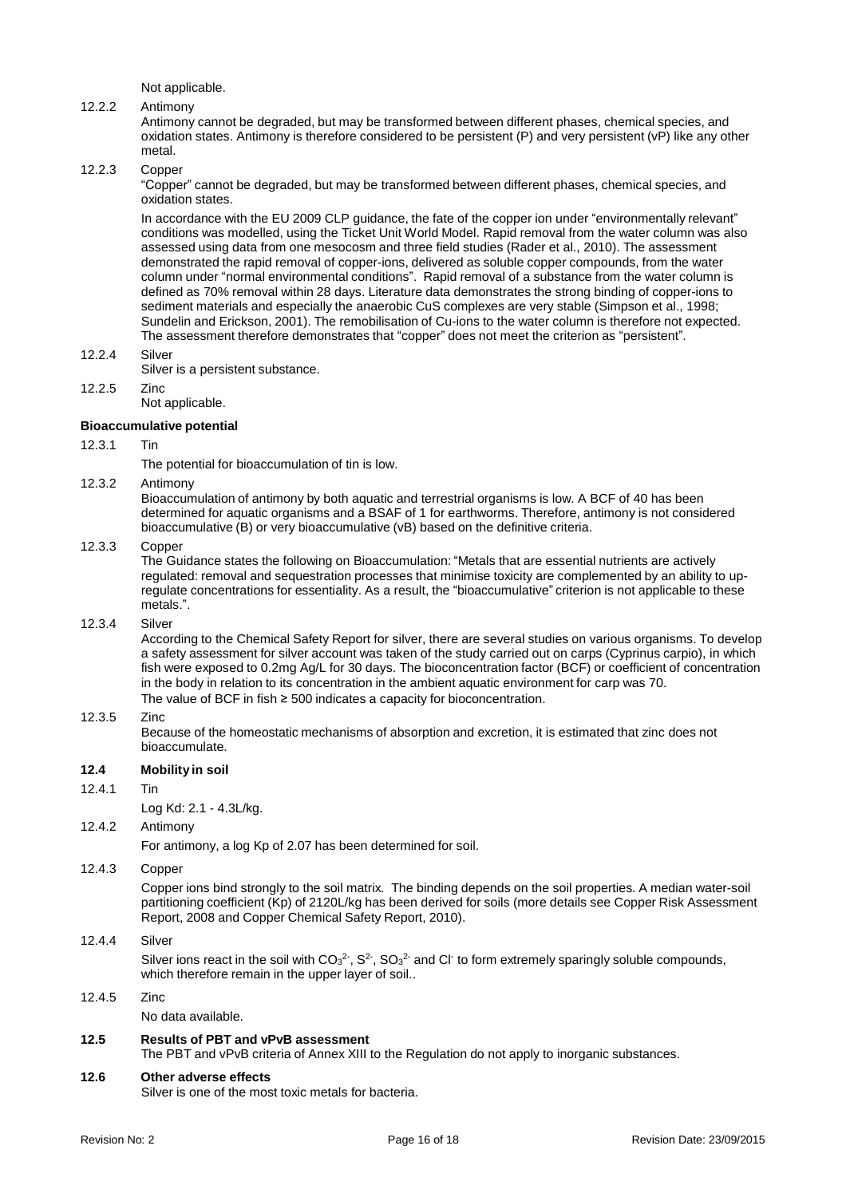Not applicable.

## 12.2.2 Antimony

Antimony cannot be degraded, but may be transformed between different phases, chemical species, and oxidation states. Antimony is therefore considered to be persistent (P) and very persistent (vP) like any other metal.

## 12.2.3 Copper

"Copper" cannot be degraded, but may be transformed between different phases, chemical species, and oxidation states.

In accordance with the EU 2009 CLP guidance, the fate of the copper ion under "environmentally relevant" conditions was modelled, using the Ticket Unit World Model. Rapid removal from the water column was also assessed using data from one mesocosm and three field studies (Rader et al., 2010). The assessment demonstrated the rapid removal of copper-ions, delivered as soluble copper compounds, from the water column under "normal environmental conditions". Rapid removal of a substance from the water column is defined as 70% removal within 28 days. Literature data demonstrates the strong binding of copper-ions to sediment materials and especially the anaerobic CuS complexes are very stable (Simpson et al., 1998; Sundelin and Erickson, 2001). The remobilisation of Cu-ions to the water column is therefore not expected. The assessment therefore demonstrates that "copper" does not meet the criterion as "persistent".

- 12.2.4 Silver
- Silver is a persistent substance.
- 12.2.5 Zinc Not applicable.

## **Bioaccumulative potential**

#### 12.3.1 Tin

The potential for bioaccumulation of tin is low.

#### 12.3.2 Antimony

Bioaccumulation of antimony by both aquatic and terrestrial organisms is low. A BCF of 40 has been determined for aquatic organisms and a BSAF of 1 for earthworms. Therefore, antimony is not considered bioaccumulative (B) or very bioaccumulative (vB) based on the definitive criteria.

#### 12.3.3 Copper

The Guidance states the following on Bioaccumulation: "Metals that are essential nutrients are actively regulated: removal and sequestration processes that minimise toxicity are complemented by an ability to upregulate concentrations for essentiality. As a result, the "bioaccumulative" criterion is not applicable to these metals.".

#### 12.3.4 Silver

According to the Chemical Safety Report for silver, there are several studies on various organisms. To develop a safety assessment for silver account was taken of the study carried out on carps (Cyprinus carpio), in which fish were exposed to 0.2mg Ag/L for 30 days. The bioconcentration factor (BCF) or coefficient of concentration in the body in relation to its concentration in the ambient aquatic environment for carp was 70. The value of BCF in fish ≥ 500 indicates a capacity for bioconcentration.

#### 12.3.5 Zinc

Because of the homeostatic mechanisms of absorption and excretion, it is estimated that zinc does not bioaccumulate.

#### **12.4 Mobility in soil**

12.4.1 Tin

Log Kd: 2.1 - 4.3L/kg.

#### 12.4.2 Antimony

For antimony, a log Kp of 2.07 has been determined for soil.

## 12.4.3 Copper

Copper ions bind strongly to the soil matrix. The binding depends on the soil properties. A median water-soil partitioning coefficient (Kp) of 2120L/kg has been derived for soils (more details see Copper Risk Assessment Report, 2008 and Copper Chemical Safety Report, 2010).

## 12.4.4 Silver

Silver ions react in the soil with  $CO<sub>3</sub><sup>2</sup>$ , S<sup>2</sup>, SO<sub>3</sub><sup>2</sup> and Cl<sup>-</sup> to form extremely sparingly soluble compounds, which therefore remain in the upper layer of soil..

## 12.4.5 Zinc

No data available.

### **12.5 Results of PBT and vPvB assessment**

The PBT and vPvB criteria of Annex XIII to the Regulation do not apply to inorganic substances.

#### **12.6 Other adverse effects**

Silver is one of the most toxic metals for bacteria.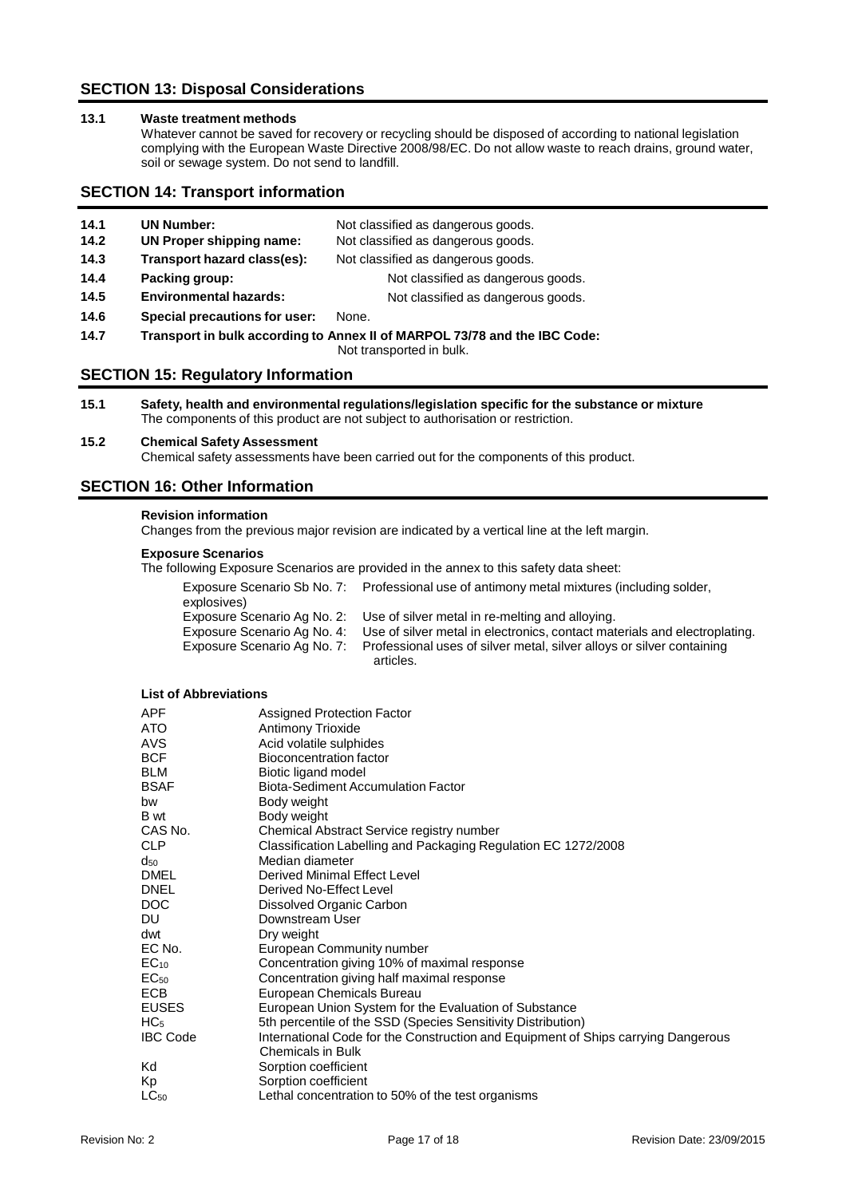## **SECTION 13: Disposal Considerations**

## **13.1 Waste treatment methods**

Whatever cannot be saved for recovery or recycling should be disposed of according to national legislation complying with the European Waste Directive 2008/98/EC. Do not allow waste to reach drains, ground water, soil or sewage system. Do not send to landfill.

## **SECTION 14: Transport information**

| 14.1 | <b>UN Number:</b>             | Not classified as dangerous goods.                                                                                          |
|------|-------------------------------|-----------------------------------------------------------------------------------------------------------------------------|
| 14.2 | UN Proper shipping name:      | Not classified as dangerous goods.                                                                                          |
| 14.3 | Transport hazard class(es):   | Not classified as dangerous goods.                                                                                          |
| 14.4 | Packing group:                | Not classified as dangerous goods.                                                                                          |
| 14.5 | <b>Environmental hazards:</b> | Not classified as dangerous goods.                                                                                          |
| 14.6 | Special precautions for user: | None.                                                                                                                       |
| 14.7 |                               | Transport in bulk according to Annex II of MARPOL 73/78 and the IBC Code:<br>A hand the area and a standard for the stiller |

Not transported in bulk.

## **SECTION 15: Regulatory Information**

**15.1 Safety, health and environmental regulations/legislation specific for the substance or mixture** The components of this product are not subject to authorisation or restriction.

## **15.2 Chemical Safety Assessment**

Chemical safety assessments have been carried out for the components of this product.

## **SECTION 16: Other Information**

#### **Revision information**

Changes from the previous major revision are indicated by a vertical line at the left margin.

## **Exposure Scenarios**

The following Exposure Scenarios are provided in the annex to this safety data sheet:

| explosives) | Exposure Scenario Sb No. 7: Professional use of antimony metal mixtures (including solder,            |
|-------------|-------------------------------------------------------------------------------------------------------|
|             | Exposure Scenario Ag No. 2: Use of silver metal in re-melting and alloying.                           |
|             | Exposure Scenario Ag No. 4: Use of silver metal in electronics, contact materials and electroplating. |
|             | Exposure Scenario Ag No. 7: Professional uses of silver metal, silver alloys or silver containing     |
|             | articles.                                                                                             |

## **List of Abbreviations**

| APF             | Assigned Protection Factor                                                        |
|-----------------|-----------------------------------------------------------------------------------|
| ATO             | Antimony Trioxide                                                                 |
| AVS.            | Acid volatile sulphides                                                           |
| <b>BCF</b>      | Bioconcentration factor                                                           |
| <b>BLM</b>      | Biotic ligand model                                                               |
| <b>BSAF</b>     | <b>Biota-Sediment Accumulation Factor</b>                                         |
| bw              | Body weight                                                                       |
| <b>B</b> wt     | Body weight                                                                       |
| CAS No.         | Chemical Abstract Service registry number                                         |
| <b>CLP</b>      | Classification Labelling and Packaging Regulation EC 1272/2008                    |
| $d_{50}$        | Median diameter                                                                   |
| <b>DMEL</b>     | Derived Minimal Effect Level                                                      |
| <b>DNEL</b>     | Derived No-Effect Level                                                           |
| DOC.            | Dissolved Organic Carbon                                                          |
| DU              | Downstream User                                                                   |
| dwt             | Dry weight                                                                        |
| EC No.          | European Community number                                                         |
| $EC_{10}$       | Concentration giving 10% of maximal response                                      |
| $EC_{50}$       | Concentration giving half maximal response                                        |
| ECB             | European Chemicals Bureau                                                         |
| <b>EUSES</b>    | European Union System for the Evaluation of Substance                             |
| HC <sub>5</sub> | 5th percentile of the SSD (Species Sensitivity Distribution)                      |
| <b>IBC Code</b> | International Code for the Construction and Equipment of Ships carrying Dangerous |
|                 | <b>Chemicals in Bulk</b>                                                          |
| Kd              | Sorption coefficient                                                              |
| Kp              | Sorption coefficient                                                              |
| $LC_{50}$       | Lethal concentration to 50% of the test organisms                                 |